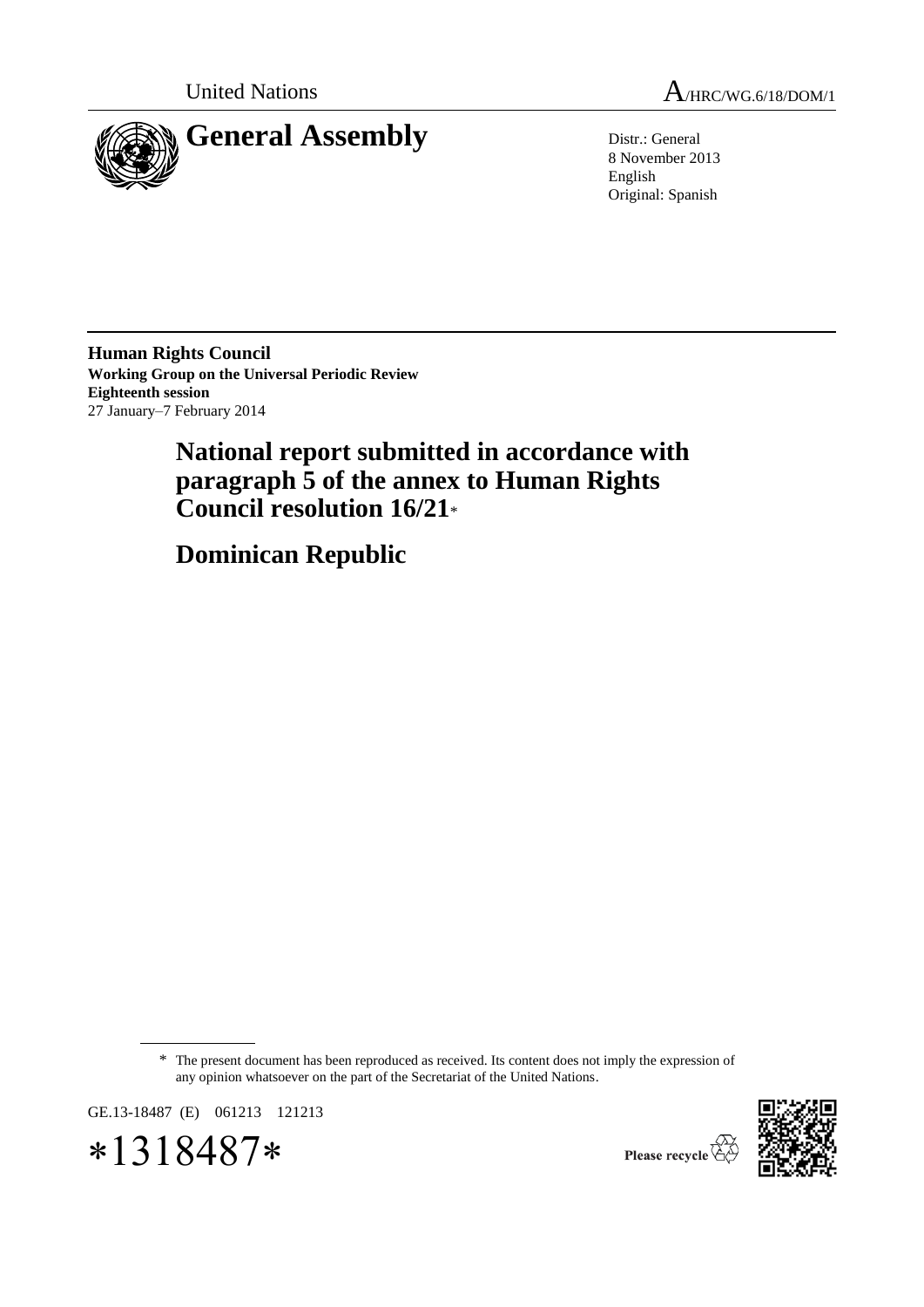

United Nations  $A_{HRC/WG.6/18/DOM/1}$ 

8 November 2013 English Original: Spanish

**Human Rights Council Working Group on the Universal Periodic Review Eighteenth session** 27 January–7 February 2014

# **National report submitted in accordance with paragraph 5 of the annex to Human Rights Council resolution 16/21**\*

**Dominican Republic** 

\* The present document has been reproduced as received. Its content does not imply the expression of any opinion whatsoever on the part of the Secretariat of the United Nations.

GE.13-18487 (E) 061213 121213





Please recycle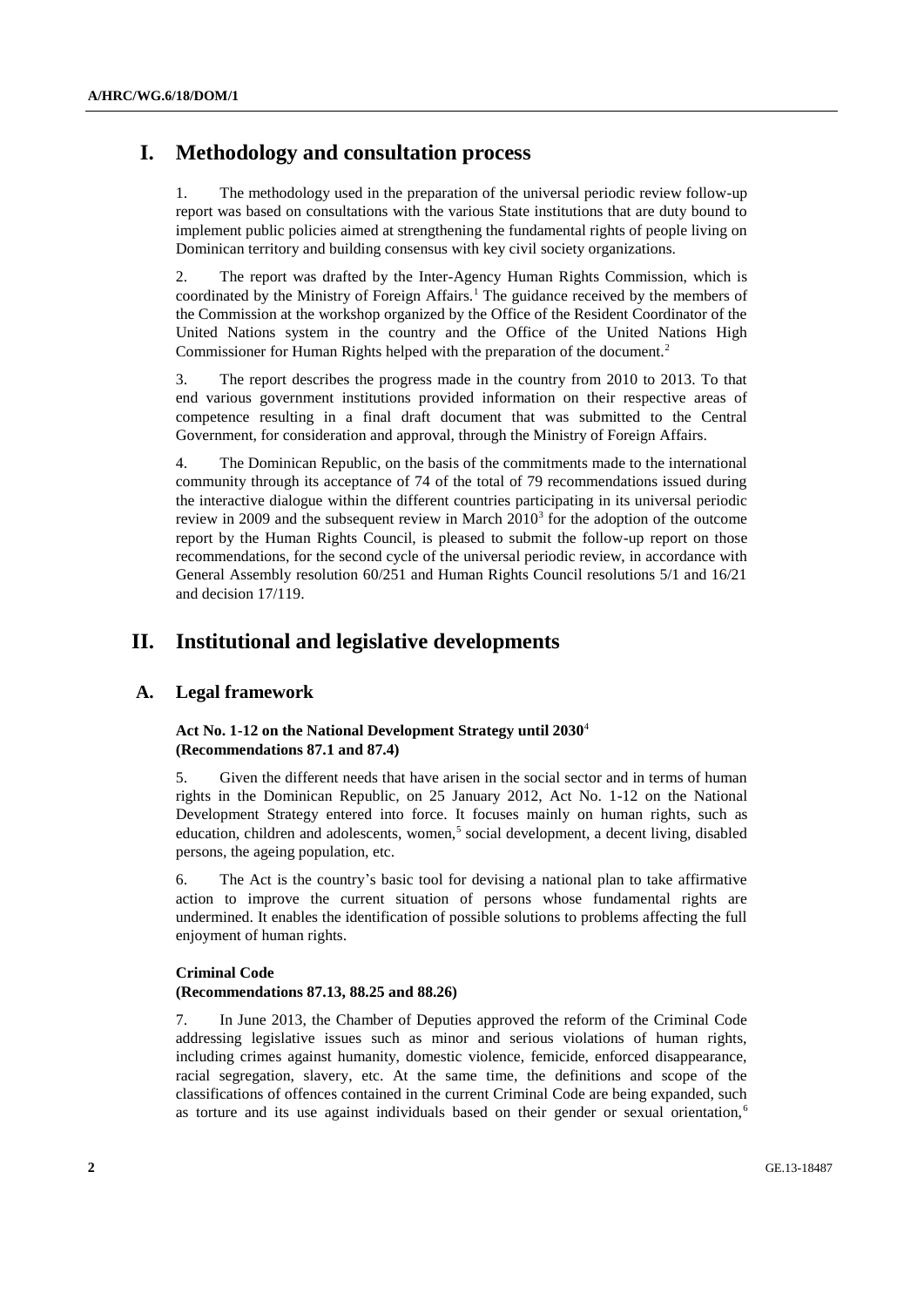# **I. Methodology and consultation process**

1. The methodology used in the preparation of the universal periodic review follow-up report was based on consultations with the various State institutions that are duty bound to implement public policies aimed at strengthening the fundamental rights of people living on Dominican territory and building consensus with key civil society organizations.

2. The report was drafted by the Inter-Agency Human Rights Commission, which is coordinated by the Ministry of Foreign Affairs.<sup>1</sup> The guidance received by the members of the Commission at the workshop organized by the Office of the Resident Coordinator of the United Nations system in the country and the Office of the United Nations High Commissioner for Human Rights helped with the preparation of the document.<sup>2</sup>

3. The report describes the progress made in the country from 2010 to 2013. To that end various government institutions provided information on their respective areas of competence resulting in a final draft document that was submitted to the Central Government, for consideration and approval, through the Ministry of Foreign Affairs.

4. The Dominican Republic, on the basis of the commitments made to the international community through its acceptance of 74 of the total of 79 recommendations issued during the interactive dialogue within the different countries participating in its universal periodic review in 2009 and the subsequent review in March  $2010<sup>3</sup>$  for the adoption of the outcome report by the Human Rights Council, is pleased to submit the follow-up report on those recommendations, for the second cycle of the universal periodic review, in accordance with General Assembly resolution 60/251 and Human Rights Council resolutions 5/1 and 16/21 and decision 17/119.

# **II. Institutional and legislative developments**

#### **A. Legal framework**

#### **Act No. 1-12 on the National Development Strategy until 2030**<sup>4</sup> **(Recommendations 87.1 and 87.4)**

5. Given the different needs that have arisen in the social sector and in terms of human rights in the Dominican Republic, on 25 January 2012, Act No. 1-12 on the National Development Strategy entered into force. It focuses mainly on human rights, such as education, children and adolescents, women,<sup>5</sup> social development, a decent living, disabled persons, the ageing population, etc.

6. The Act is the country's basic tool for devising a national plan to take affirmative action to improve the current situation of persons whose fundamental rights are undermined. It enables the identification of possible solutions to problems affecting the full enjoyment of human rights.

#### **Criminal Code**

#### **(Recommendations 87.13, 88.25 and 88.26)**

7. In June 2013, the Chamber of Deputies approved the reform of the Criminal Code addressing legislative issues such as minor and serious violations of human rights, including crimes against humanity, domestic violence, femicide, enforced disappearance, racial segregation, slavery, etc. At the same time, the definitions and scope of the classifications of offences contained in the current Criminal Code are being expanded, such as torture and its use against individuals based on their gender or sexual orientation,<sup>6</sup>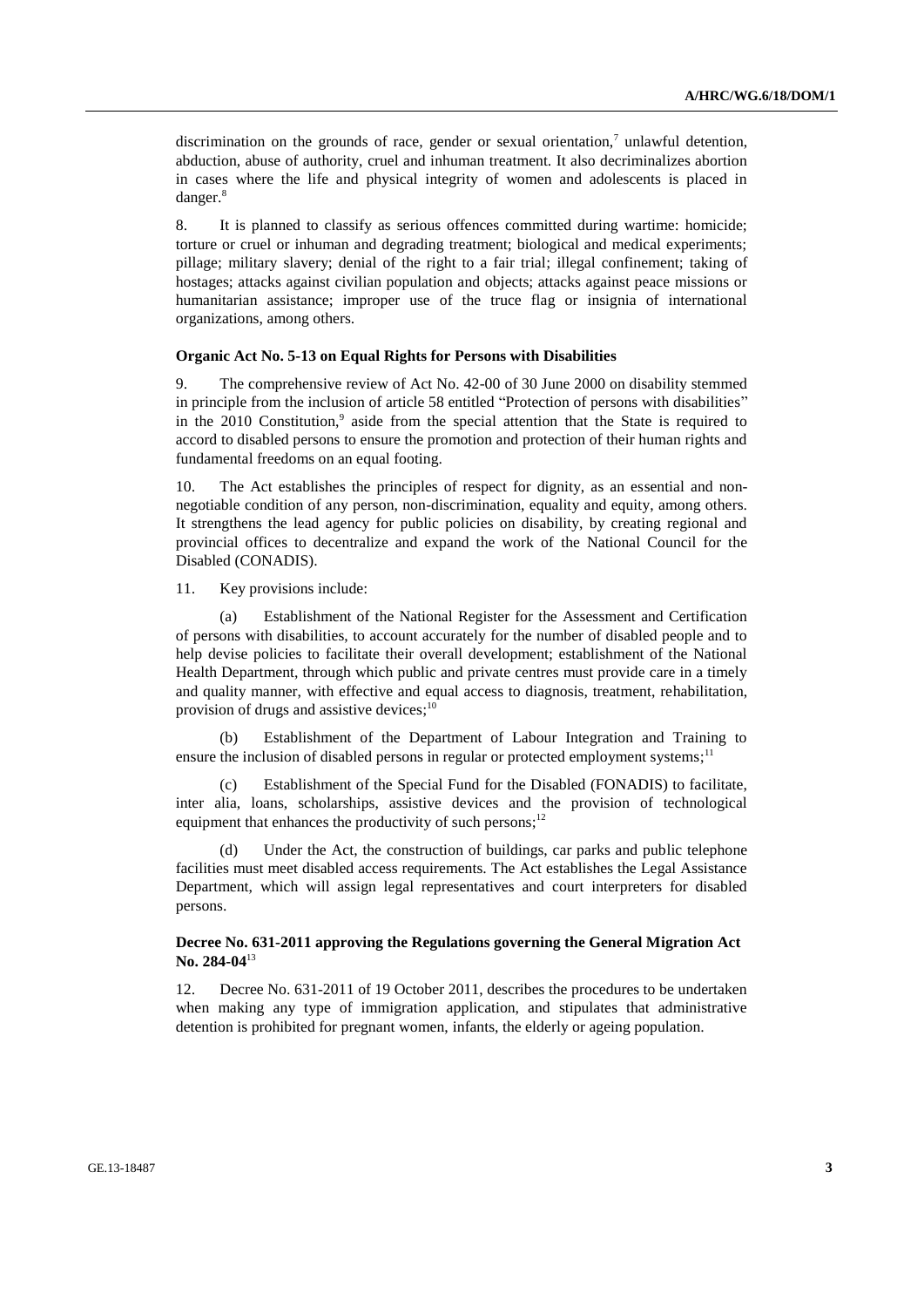discrimination on the grounds of race, gender or sexual orientation,<sup>7</sup> unlawful detention, abduction, abuse of authority, cruel and inhuman treatment. It also decriminalizes abortion in cases where the life and physical integrity of women and adolescents is placed in danger.<sup>8</sup>

8. It is planned to classify as serious offences committed during wartime: homicide; torture or cruel or inhuman and degrading treatment; biological and medical experiments; pillage; military slavery; denial of the right to a fair trial; illegal confinement; taking of hostages; attacks against civilian population and objects; attacks against peace missions or humanitarian assistance; improper use of the truce flag or insignia of international organizations, among others.

#### **Organic Act No. 5-13 on Equal Rights for Persons with Disabilities**

9. The comprehensive review of Act No. 42-00 of 30 June 2000 on disability stemmed in principle from the inclusion of article 58 entitled "Protection of persons with disabilities" in the  $2010$  Constitution,<sup>9</sup> aside from the special attention that the State is required to accord to disabled persons to ensure the promotion and protection of their human rights and fundamental freedoms on an equal footing.

10. The Act establishes the principles of respect for dignity, as an essential and nonnegotiable condition of any person, non-discrimination, equality and equity, among others. It strengthens the lead agency for public policies on disability, by creating regional and provincial offices to decentralize and expand the work of the National Council for the Disabled (CONADIS).

11. Key provisions include:

(a) Establishment of the National Register for the Assessment and Certification of persons with disabilities, to account accurately for the number of disabled people and to help devise policies to facilitate their overall development; establishment of the National Health Department, through which public and private centres must provide care in a timely and quality manner, with effective and equal access to diagnosis, treatment, rehabilitation, provision of drugs and assistive devices;<sup>10</sup>

(b) Establishment of the Department of Labour Integration and Training to ensure the inclusion of disabled persons in regular or protected employment systems;<sup>11</sup>

(c) Establishment of the Special Fund for the Disabled (FONADIS) to facilitate, inter alia, loans, scholarships, assistive devices and the provision of technological equipment that enhances the productivity of such persons;<sup>12</sup>

Under the Act, the construction of buildings, car parks and public telephone facilities must meet disabled access requirements. The Act establishes the Legal Assistance Department, which will assign legal representatives and court interpreters for disabled persons.

#### **Decree No. 631-2011 approving the Regulations governing the General Migration Act No. 284-04**<sup>13</sup>

12. Decree No. 631-2011 of 19 October 2011, describes the procedures to be undertaken when making any type of immigration application, and stipulates that administrative detention is prohibited for pregnant women, infants, the elderly or ageing population.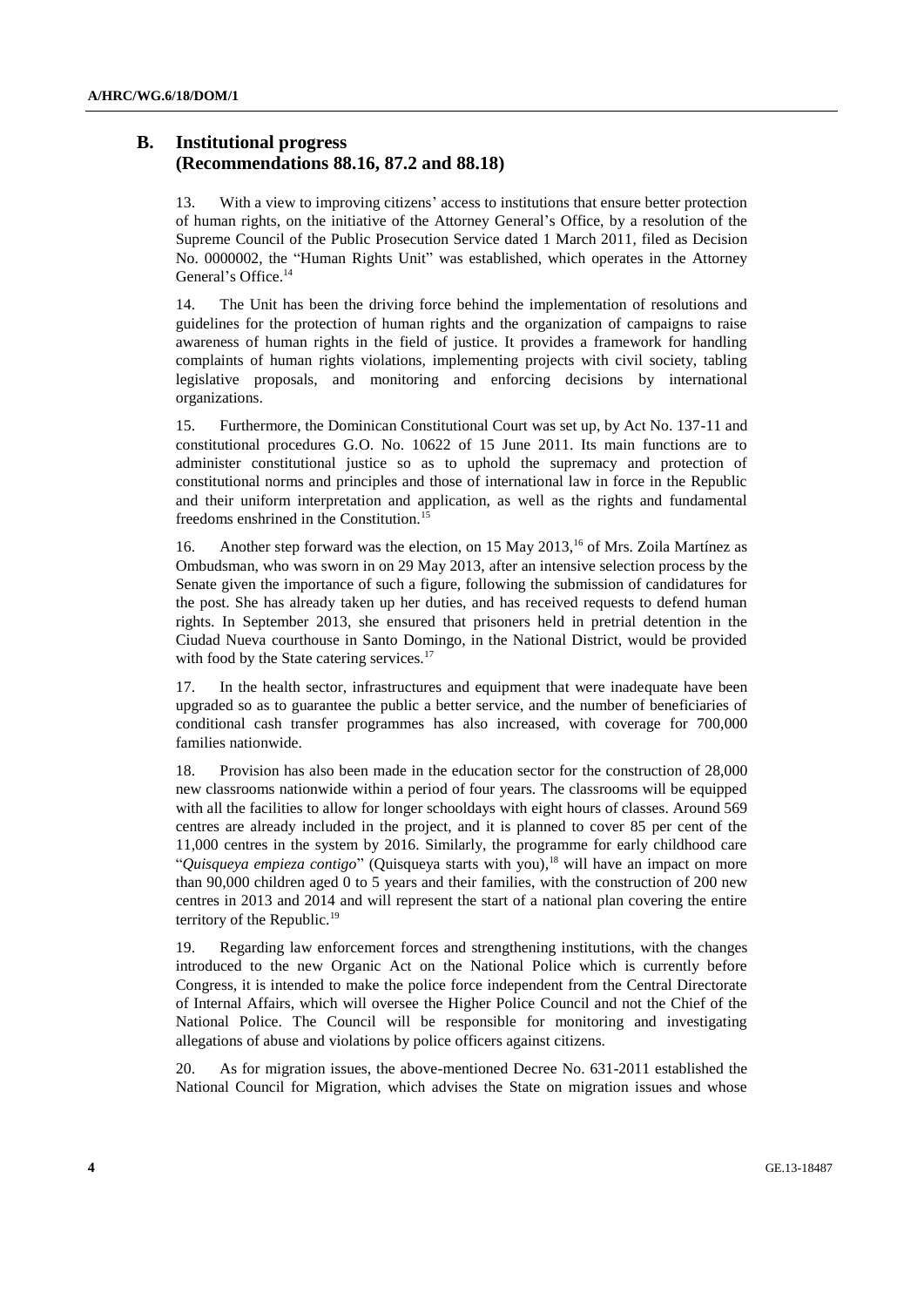### **B. Institutional progress (Recommendations 88.16, 87.2 and 88.18)**

13. With a view to improving citizens' access to institutions that ensure better protection of human rights, on the initiative of the Attorney General's Office, by a resolution of the Supreme Council of the Public Prosecution Service dated 1 March 2011, filed as Decision No. 0000002, the "Human Rights Unit" was established, which operates in the Attorney General's Office.<sup>14</sup>

14. The Unit has been the driving force behind the implementation of resolutions and guidelines for the protection of human rights and the organization of campaigns to raise awareness of human rights in the field of justice. It provides a framework for handling complaints of human rights violations, implementing projects with civil society, tabling legislative proposals, and monitoring and enforcing decisions by international organizations.

15. Furthermore, the Dominican Constitutional Court was set up, by Act No. 137-11 and constitutional procedures G.O. No. 10622 of 15 June 2011. Its main functions are to administer constitutional justice so as to uphold the supremacy and protection of constitutional norms and principles and those of international law in force in the Republic and their uniform interpretation and application, as well as the rights and fundamental freedoms enshrined in the Constitution.<sup>15</sup>

16. Another step forward was the election, on 15 May 2013,<sup>16</sup> of Mrs. Zoila Martínez as Ombudsman, who was sworn in on 29 May 2013, after an intensive selection process by the Senate given the importance of such a figure, following the submission of candidatures for the post. She has already taken up her duties, and has received requests to defend human rights. In September 2013, she ensured that prisoners held in pretrial detention in the Ciudad Nueva courthouse in Santo Domingo, in the National District, would be provided with food by the State catering services.<sup>17</sup>

17. In the health sector, infrastructures and equipment that were inadequate have been upgraded so as to guarantee the public a better service, and the number of beneficiaries of conditional cash transfer programmes has also increased, with coverage for 700,000 families nationwide.

18. Provision has also been made in the education sector for the construction of 28,000 new classrooms nationwide within a period of four years. The classrooms will be equipped with all the facilities to allow for longer schooldays with eight hours of classes. Around 569 centres are already included in the project, and it is planned to cover 85 per cent of the 11,000 centres in the system by 2016. Similarly, the programme for early childhood care "*Quisqueya empieza contigo*" (Quisqueya starts with you), <sup>18</sup> will have an impact on more than 90,000 children aged 0 to 5 years and their families, with the construction of 200 new centres in 2013 and 2014 and will represent the start of a national plan covering the entire territory of the Republic.<sup>19</sup>

19. Regarding law enforcement forces and strengthening institutions, with the changes introduced to the new Organic Act on the National Police which is currently before Congress, it is intended to make the police force independent from the Central Directorate of Internal Affairs, which will oversee the Higher Police Council and not the Chief of the National Police. The Council will be responsible for monitoring and investigating allegations of abuse and violations by police officers against citizens.

20. As for migration issues, the above-mentioned Decree No. 631-2011 established the National Council for Migration, which advises the State on migration issues and whose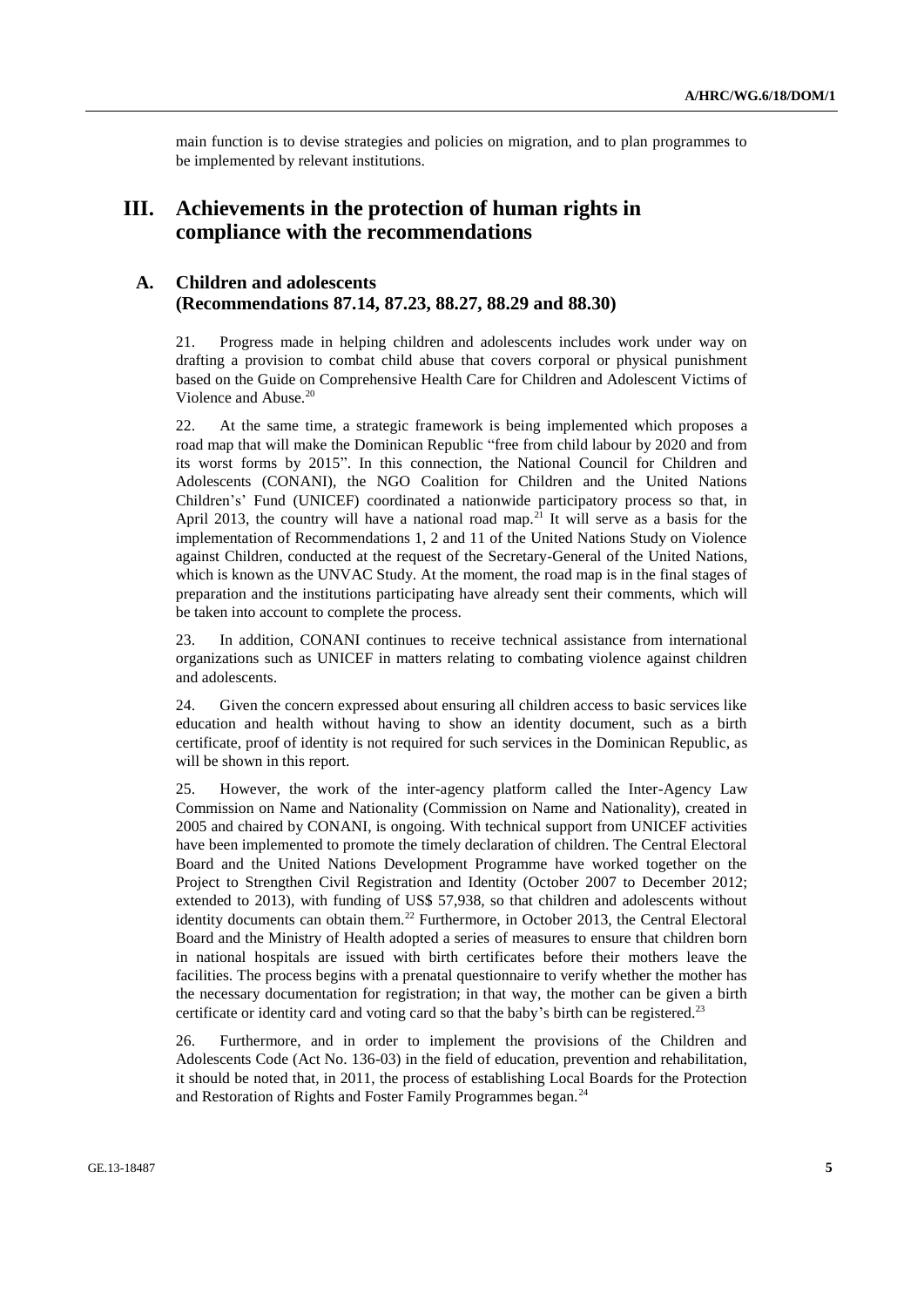main function is to devise strategies and policies on migration, and to plan programmes to be implemented by relevant institutions.

# **III. Achievements in the protection of human rights in compliance with the recommendations**

### **A. Children and adolescents (Recommendations 87.14, 87.23, 88.27, 88.29 and 88.30)**

21. Progress made in helping children and adolescents includes work under way on drafting a provision to combat child abuse that covers corporal or physical punishment based on the Guide on Comprehensive Health Care for Children and Adolescent Victims of Violence and Abuse.<sup>20</sup>

22. At the same time, a strategic framework is being implemented which proposes a road map that will make the Dominican Republic "free from child labour by 2020 and from its worst forms by 2015". In this connection, the National Council for Children and Adolescents (CONANI), the NGO Coalition for Children and the United Nations Children's' Fund (UNICEF) coordinated a nationwide participatory process so that, in April 2013, the country will have a national road map.<sup>21</sup> It will serve as a basis for the implementation of Recommendations 1, 2 and 11 of the United Nations Study on Violence against Children, conducted at the request of the Secretary-General of the United Nations, which is known as the UNVAC Study. At the moment, the road map is in the final stages of preparation and the institutions participating have already sent their comments, which will be taken into account to complete the process.

23. In addition, CONANI continues to receive technical assistance from international organizations such as UNICEF in matters relating to combating violence against children and adolescents.

24. Given the concern expressed about ensuring all children access to basic services like education and health without having to show an identity document, such as a birth certificate, proof of identity is not required for such services in the Dominican Republic, as will be shown in this report.

25. However, the work of the inter-agency platform called the Inter-Agency Law Commission on Name and Nationality (Commission on Name and Nationality), created in 2005 and chaired by CONANI, is ongoing. With technical support from UNICEF activities have been implemented to promote the timely declaration of children. The Central Electoral Board and the United Nations Development Programme have worked together on the Project to Strengthen Civil Registration and Identity (October 2007 to December 2012; extended to 2013), with funding of US\$ 57,938, so that children and adolescents without identity documents can obtain them.<sup>22</sup> Furthermore, in October 2013, the Central Electoral Board and the Ministry of Health adopted a series of measures to ensure that children born in national hospitals are issued with birth certificates before their mothers leave the facilities. The process begins with a prenatal questionnaire to verify whether the mother has the necessary documentation for registration; in that way, the mother can be given a birth certificate or identity card and voting card so that the baby's birth can be registered.<sup>23</sup>

26. Furthermore, and in order to implement the provisions of the Children and Adolescents Code (Act No. 136-03) in the field of education, prevention and rehabilitation, it should be noted that, in 2011, the process of establishing Local Boards for the Protection and Restoration of Rights and Foster Family Programmes began.<sup>24</sup>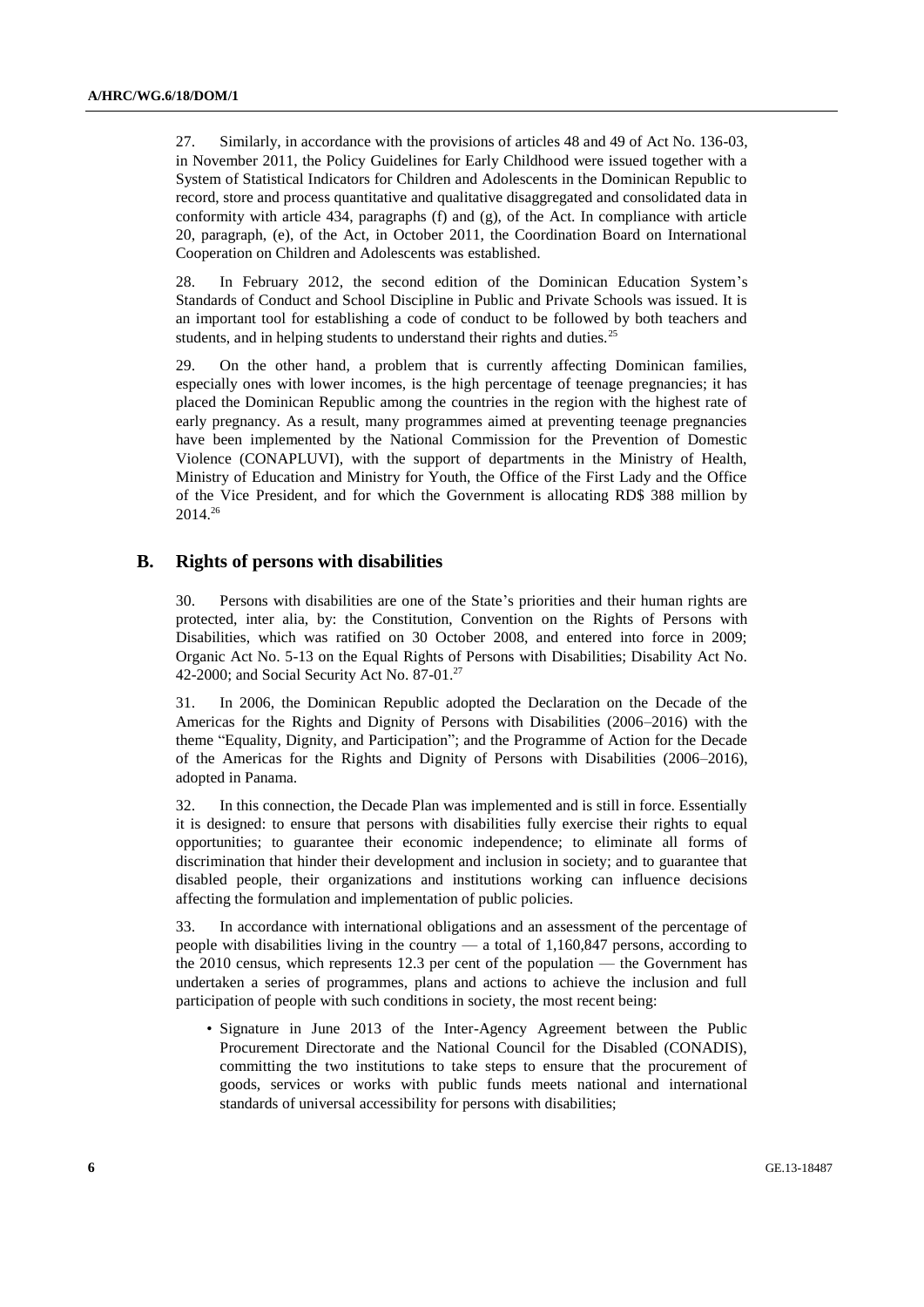27. Similarly, in accordance with the provisions of articles 48 and 49 of Act No. 136-03, in November 2011, the Policy Guidelines for Early Childhood were issued together with a System of Statistical Indicators for Children and Adolescents in the Dominican Republic to record, store and process quantitative and qualitative disaggregated and consolidated data in conformity with article 434, paragraphs (f) and (g), of the Act. In compliance with article 20, paragraph, (e), of the Act, in October 2011, the Coordination Board on International Cooperation on Children and Adolescents was established.

28. In February 2012, the second edition of the Dominican Education System's Standards of Conduct and School Discipline in Public and Private Schools was issued. It is an important tool for establishing a code of conduct to be followed by both teachers and students, and in helping students to understand their rights and duties.<sup>25</sup>

29. On the other hand, a problem that is currently affecting Dominican families, especially ones with lower incomes, is the high percentage of teenage pregnancies; it has placed the Dominican Republic among the countries in the region with the highest rate of early pregnancy. As a result, many programmes aimed at preventing teenage pregnancies have been implemented by the National Commission for the Prevention of Domestic Violence (CONAPLUVI), with the support of departments in the Ministry of Health, Ministry of Education and Ministry for Youth, the Office of the First Lady and the Office of the Vice President, and for which the Government is allocating RD\$ 388 million by 2014.<sup>26</sup>

#### **B. Rights of persons with disabilities**

30. Persons with disabilities are one of the State's priorities and their human rights are protected, inter alia, by: the Constitution, Convention on the Rights of Persons with Disabilities, which was ratified on 30 October 2008, and entered into force in 2009; Organic Act No. 5-13 on the Equal Rights of Persons with Disabilities; Disability Act No. 42-2000; and Social Security Act No.  $87-01.<sup>27</sup>$ 

31. In 2006, the Dominican Republic adopted the Declaration on the Decade of the Americas for the Rights and Dignity of Persons with Disabilities (2006–2016) with the theme "Equality, Dignity, and Participation"; and the Programme of Action for the Decade of the Americas for the Rights and Dignity of Persons with Disabilities (2006–2016), adopted in Panama.

32. In this connection, the Decade Plan was implemented and is still in force. Essentially it is designed: to ensure that persons with disabilities fully exercise their rights to equal opportunities; to guarantee their economic independence; to eliminate all forms of discrimination that hinder their development and inclusion in society; and to guarantee that disabled people, their organizations and institutions working can influence decisions affecting the formulation and implementation of public policies.

33. In accordance with international obligations and an assessment of the percentage of people with disabilities living in the country  $-$  a total of 1,160,847 persons, according to the 2010 census, which represents 12.3 per cent of the population — the Government has undertaken a series of programmes, plans and actions to achieve the inclusion and full participation of people with such conditions in society, the most recent being:

• Signature in June 2013 of the Inter-Agency Agreement between the Public Procurement Directorate and the National Council for the Disabled (CONADIS), committing the two institutions to take steps to ensure that the procurement of goods, services or works with public funds meets national and international standards of universal accessibility for persons with disabilities;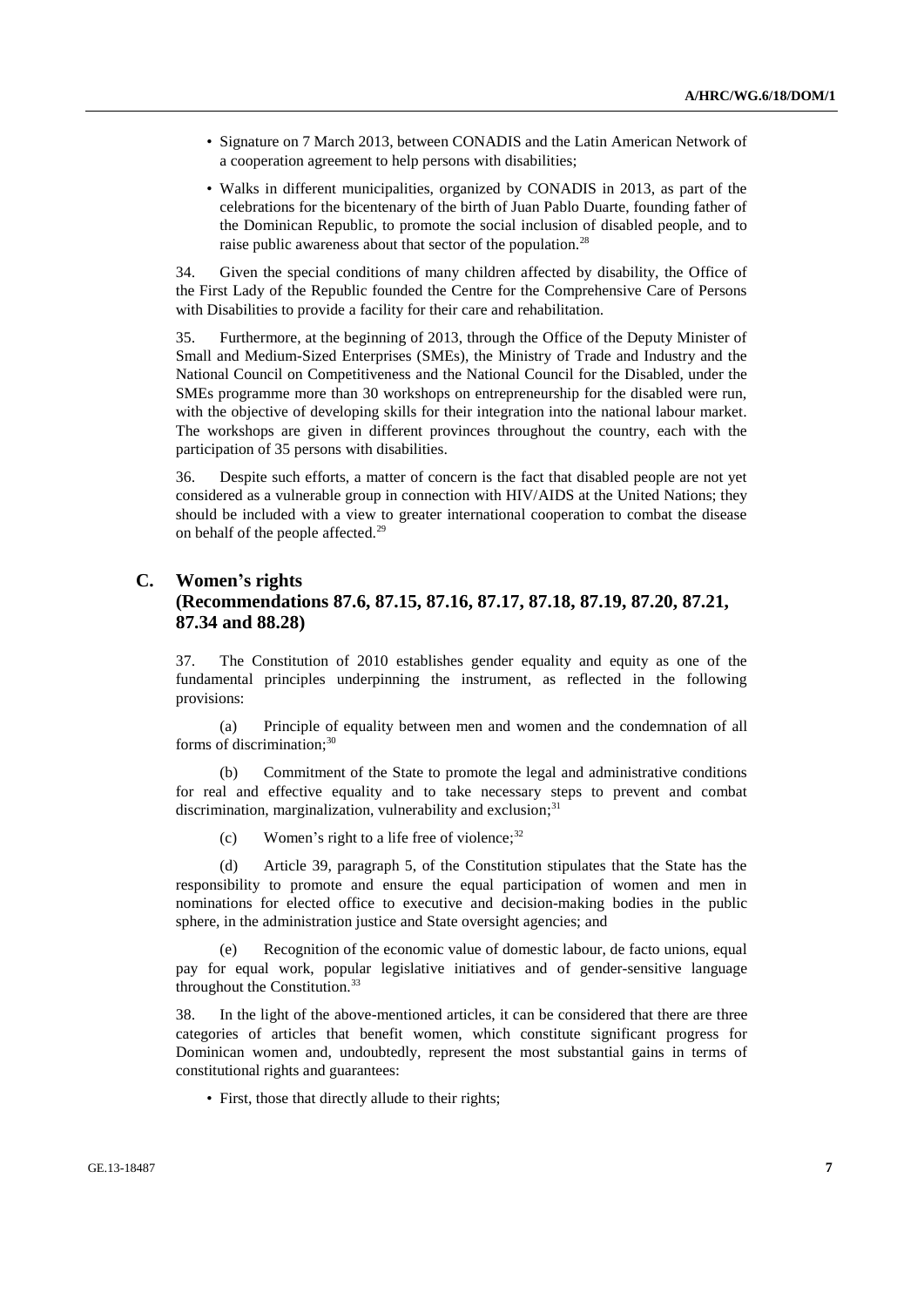- Signature on 7 March 2013, between CONADIS and the Latin American Network of a cooperation agreement to help persons with disabilities;
- Walks in different municipalities, organized by CONADIS in 2013, as part of the celebrations for the bicentenary of the birth of Juan Pablo Duarte, founding father of the Dominican Republic, to promote the social inclusion of disabled people, and to raise public awareness about that sector of the population.<sup>28</sup>

34. Given the special conditions of many children affected by disability, the Office of the First Lady of the Republic founded the Centre for the Comprehensive Care of Persons with Disabilities to provide a facility for their care and rehabilitation.

35. Furthermore, at the beginning of 2013, through the Office of the Deputy Minister of Small and Medium-Sized Enterprises (SMEs), the Ministry of Trade and Industry and the National Council on Competitiveness and the National Council for the Disabled, under the SMEs programme more than 30 workshops on entrepreneurship for the disabled were run, with the objective of developing skills for their integration into the national labour market. The workshops are given in different provinces throughout the country, each with the participation of 35 persons with disabilities.

36. Despite such efforts, a matter of concern is the fact that disabled people are not yet considered as a vulnerable group in connection with HIV/AIDS at the United Nations; they should be included with a view to greater international cooperation to combat the disease on behalf of the people affected.<sup>29</sup>

## **C. Women's rights (Recommendations 87.6, 87.15, 87.16, 87.17, 87.18, 87.19, 87.20, 87.21, 87.34 and 88.28)**

37. The Constitution of 2010 establishes gender equality and equity as one of the fundamental principles underpinning the instrument, as reflected in the following provisions:

(a) Principle of equality between men and women and the condemnation of all forms of discrimination; 30

(b) Commitment of the State to promote the legal and administrative conditions for real and effective equality and to take necessary steps to prevent and combat discrimination, marginalization, vulnerability and exclusion;<sup>31</sup>

(c) Women's right to a life free of violence; $32$ 

(d) Article 39, paragraph 5, of the Constitution stipulates that the State has the responsibility to promote and ensure the equal participation of women and men in nominations for elected office to executive and decision-making bodies in the public sphere, in the administration justice and State oversight agencies; and

(e) Recognition of the economic value of domestic labour, de facto unions, equal pay for equal work, popular legislative initiatives and of gender-sensitive language throughout the Constitution. $33$ 

38. In the light of the above-mentioned articles, it can be considered that there are three categories of articles that benefit women, which constitute significant progress for Dominican women and, undoubtedly, represent the most substantial gains in terms of constitutional rights and guarantees:

• First, those that directly allude to their rights;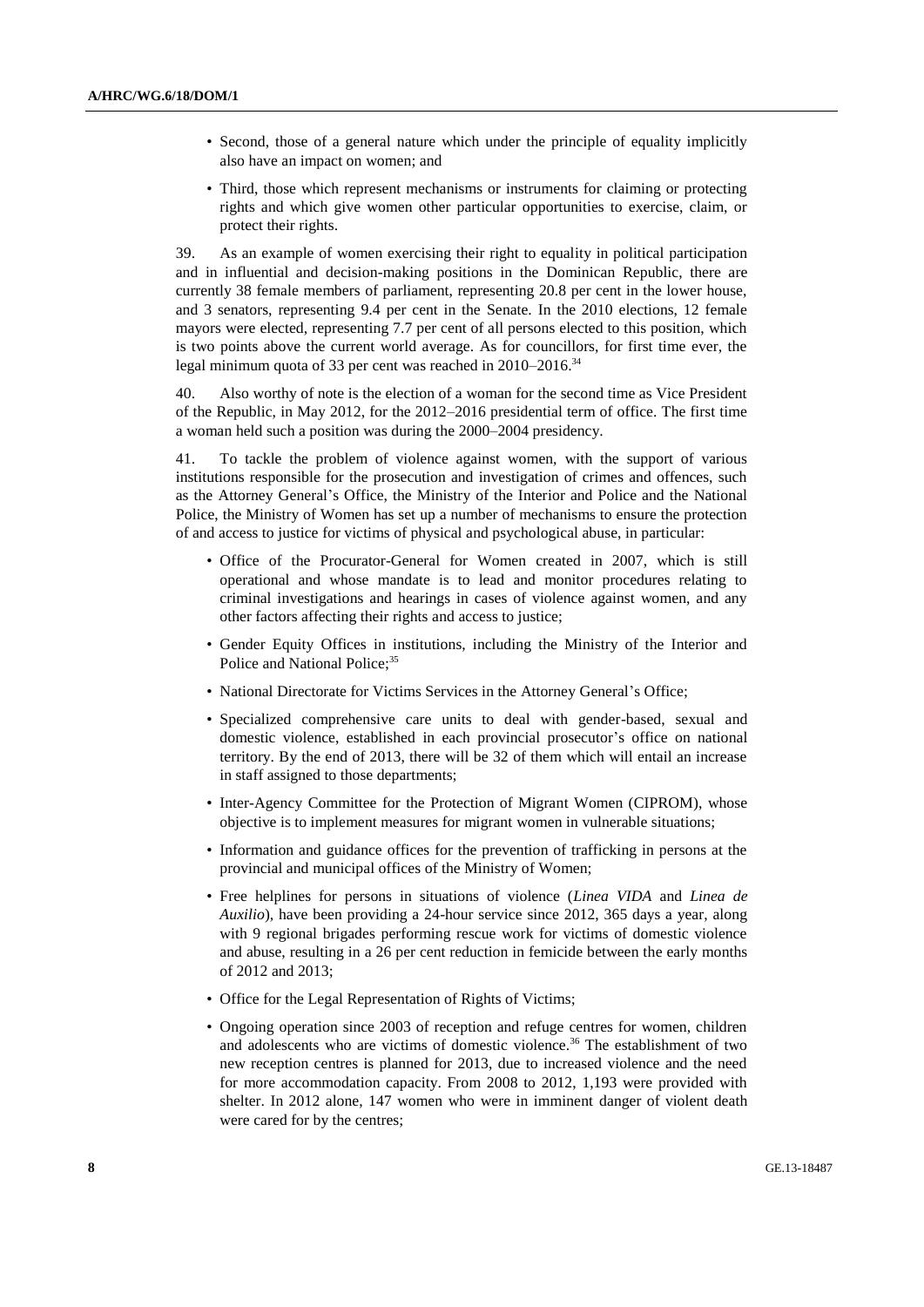- Second, those of a general nature which under the principle of equality implicitly also have an impact on women; and
- Third, those which represent mechanisms or instruments for claiming or protecting rights and which give women other particular opportunities to exercise, claim, or protect their rights.

39. As an example of women exercising their right to equality in political participation and in influential and decision-making positions in the Dominican Republic, there are currently 38 female members of parliament, representing 20.8 per cent in the lower house, and 3 senators, representing 9.4 per cent in the Senate. In the 2010 elections, 12 female mayors were elected, representing 7.7 per cent of all persons elected to this position, which is two points above the current world average. As for councillors, for first time ever, the legal minimum quota of 33 per cent was reached in 2010–2016.<sup>34</sup>

40. Also worthy of note is the election of a woman for the second time as Vice President of the Republic, in May 2012, for the 2012–2016 presidential term of office. The first time a woman held such a position was during the 2000–2004 presidency.

41. To tackle the problem of violence against women, with the support of various institutions responsible for the prosecution and investigation of crimes and offences, such as the Attorney General's Office, the Ministry of the Interior and Police and the National Police, the Ministry of Women has set up a number of mechanisms to ensure the protection of and access to justice for victims of physical and psychological abuse, in particular:

- Office of the Procurator-General for Women created in 2007, which is still operational and whose mandate is to lead and monitor procedures relating to criminal investigations and hearings in cases of violence against women, and any other factors affecting their rights and access to justice;
- Gender Equity Offices in institutions, including the Ministry of the Interior and Police and National Police;<sup>35</sup>
- National Directorate for Victims Services in the Attorney General's Office;
- Specialized comprehensive care units to deal with gender-based, sexual and domestic violence, established in each provincial prosecutor's office on national territory. By the end of 2013, there will be 32 of them which will entail an increase in staff assigned to those departments;
- Inter-Agency Committee for the Protection of Migrant Women (CIPROM), whose objective is to implement measures for migrant women in vulnerable situations;
- Information and guidance offices for the prevention of trafficking in persons at the provincial and municipal offices of the Ministry of Women;
- Free helplines for persons in situations of violence (*Linea VIDA* and *Linea de Auxilio*), have been providing a 24-hour service since 2012, 365 days a year, along with 9 regional brigades performing rescue work for victims of domestic violence and abuse, resulting in a 26 per cent reduction in femicide between the early months of 2012 and 2013;
- Office for the Legal Representation of Rights of Victims;
- Ongoing operation since 2003 of reception and refuge centres for women, children and adolescents who are victims of domestic violence.<sup>36</sup> The establishment of two new reception centres is planned for 2013, due to increased violence and the need for more accommodation capacity. From 2008 to 2012, 1,193 were provided with shelter. In 2012 alone, 147 women who were in imminent danger of violent death were cared for by the centres;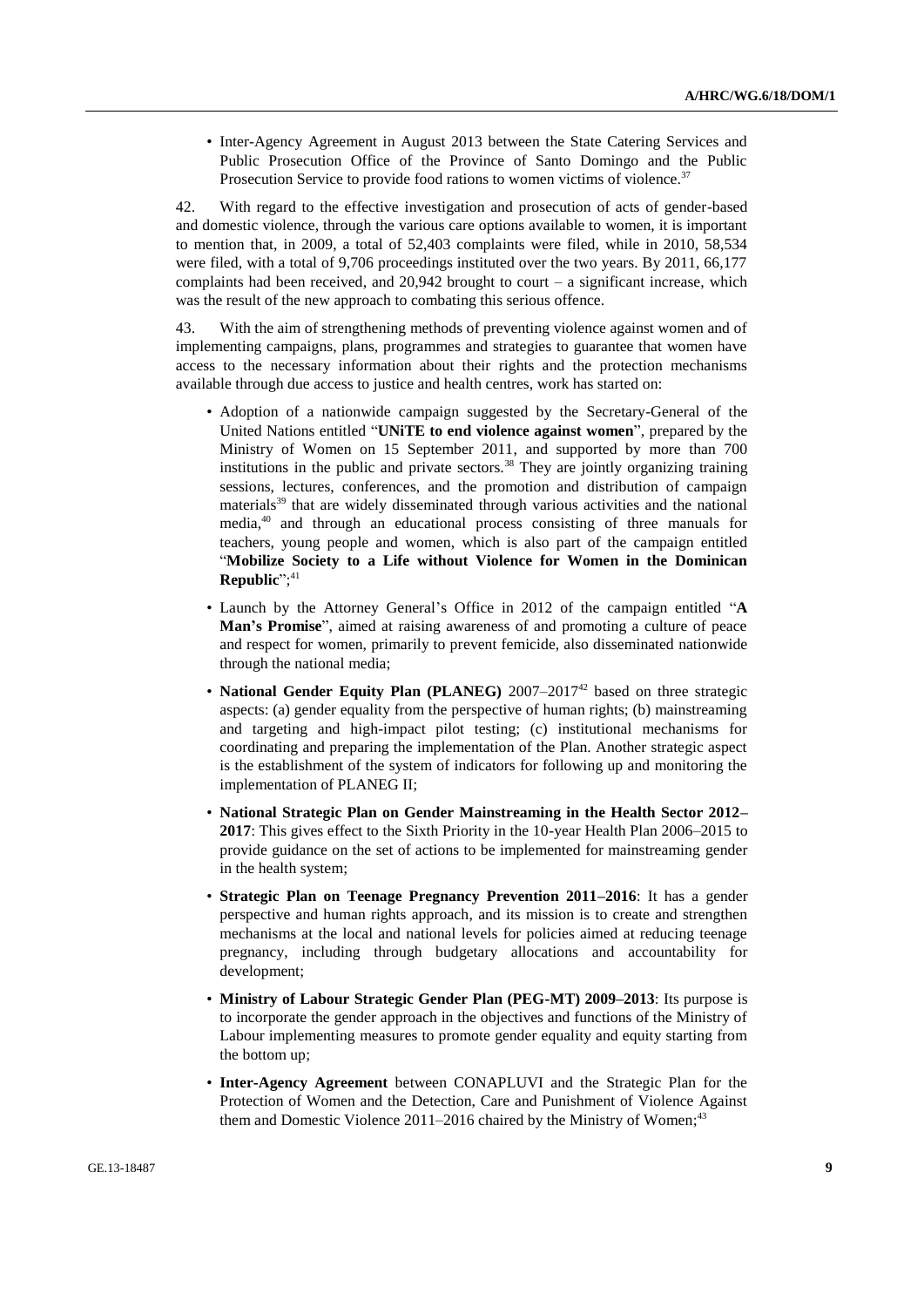• Inter-Agency Agreement in August 2013 between the State Catering Services and Public Prosecution Office of the Province of Santo Domingo and the Public Prosecution Service to provide food rations to women victims of violence.<sup>37</sup>

42. With regard to the effective investigation and prosecution of acts of gender-based and domestic violence, through the various care options available to women, it is important to mention that, in 2009, a total of 52,403 complaints were filed, while in 2010, 58,534 were filed, with a total of 9,706 proceedings instituted over the two years. By 2011, 66,177 complaints had been received, and  $20.942$  brought to court – a significant increase, which was the result of the new approach to combating this serious offence.

43. With the aim of strengthening methods of preventing violence against women and of implementing campaigns, plans, programmes and strategies to guarantee that women have access to the necessary information about their rights and the protection mechanisms available through due access to justice and health centres, work has started on:

- Adoption of a nationwide campaign suggested by the Secretary-General of the United Nations entitled "**UNiTE to end violence against women**", prepared by the Ministry of Women on 15 September 2011, and supported by more than 700 institutions in the public and private sectors.<sup>38</sup> They are jointly organizing training sessions, lectures, conferences, and the promotion and distribution of campaign materials<sup>39</sup> that are widely disseminated through various activities and the national media, <sup>40</sup> and through an educational process consisting of three manuals for teachers, young people and women, which is also part of the campaign entitled "**Mobilize Society to a Life without Violence for Women in the Dominican Republic**"; 41
- Launch by the Attorney General's Office in 2012 of the campaign entitled "**A Man's Promise**", aimed at raising awareness of and promoting a culture of peace and respect for women, primarily to prevent femicide, also disseminated nationwide through the national media;
- **National Gender Equity Plan (PLANEG)** 2007–2017<sup>42</sup> based on three strategic aspects: (a) gender equality from the perspective of human rights; (b) mainstreaming and targeting and high-impact pilot testing; (c) institutional mechanisms for coordinating and preparing the implementation of the Plan. Another strategic aspect is the establishment of the system of indicators for following up and monitoring the implementation of PLANEG II;
- **National Strategic Plan on Gender Mainstreaming in the Health Sector 2012– 2017**: This gives effect to the Sixth Priority in the 10-year Health Plan 2006–2015 to provide guidance on the set of actions to be implemented for mainstreaming gender in the health system;
- **Strategic Plan on Teenage Pregnancy Prevention 2011–2016**: It has a gender perspective and human rights approach, and its mission is to create and strengthen mechanisms at the local and national levels for policies aimed at reducing teenage pregnancy, including through budgetary allocations and accountability for development;
- **Ministry of Labour Strategic Gender Plan (PEG-MT) 2009–2013**: Its purpose is to incorporate the gender approach in the objectives and functions of the Ministry of Labour implementing measures to promote gender equality and equity starting from the bottom up;
- **Inter-Agency Agreement** between CONAPLUVI and the Strategic Plan for the Protection of Women and the Detection, Care and Punishment of Violence Against them and Domestic Violence 2011–2016 chaired by the Ministry of Women;<sup>43</sup>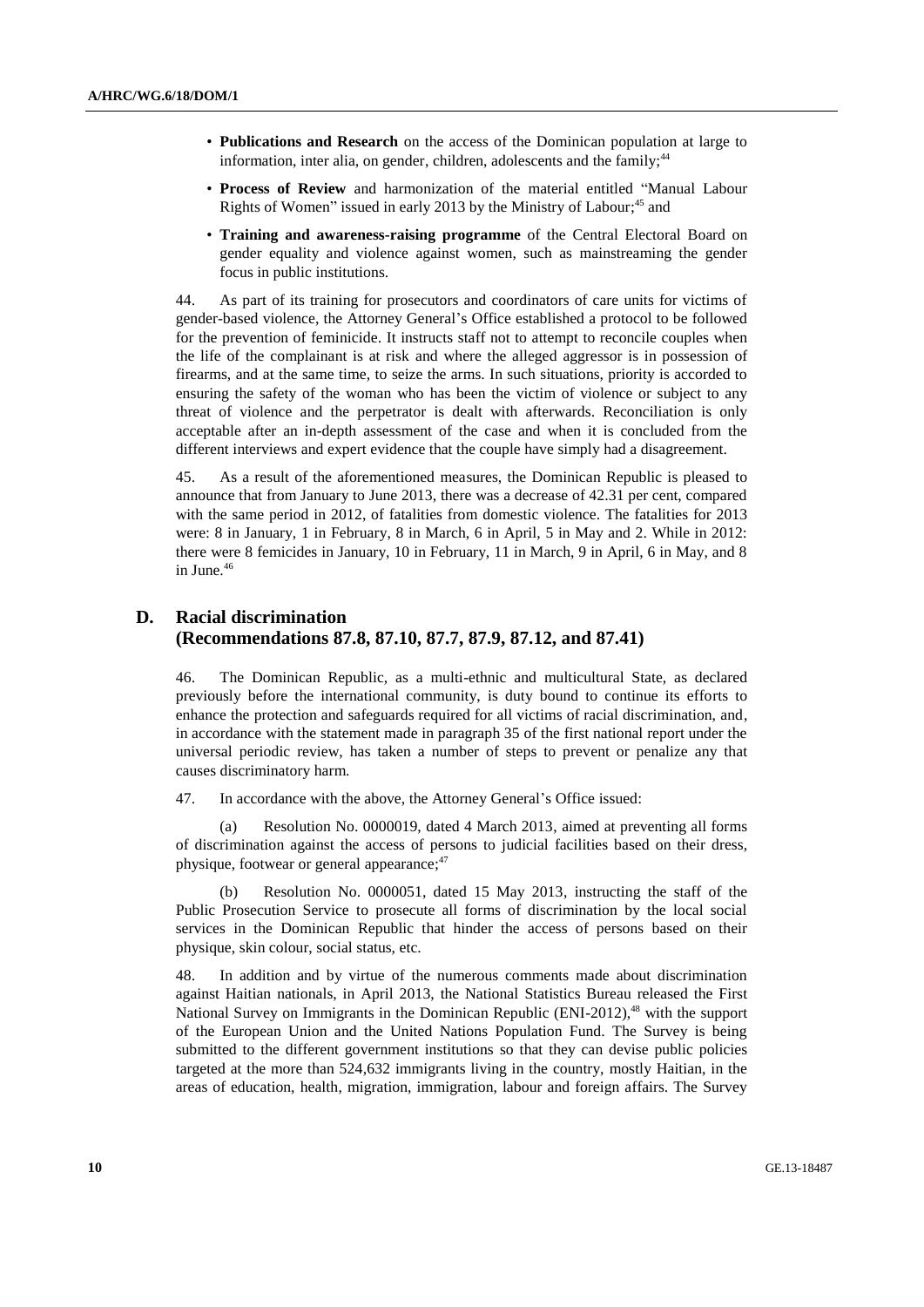- **Publications and Research** on the access of the Dominican population at large to information, inter alia, on gender, children, adolescents and the family;<sup>44</sup>
- **Process of Review** and harmonization of the material entitled "Manual Labour Rights of Women" issued in early 2013 by the Ministry of Labour;<sup>45</sup> and
- **Training and awareness-raising programme** of the Central Electoral Board on gender equality and violence against women, such as mainstreaming the gender focus in public institutions.

44. As part of its training for prosecutors and coordinators of care units for victims of gender-based violence, the Attorney General's Office established a protocol to be followed for the prevention of feminicide. It instructs staff not to attempt to reconcile couples when the life of the complainant is at risk and where the alleged aggressor is in possession of firearms, and at the same time, to seize the arms. In such situations, priority is accorded to ensuring the safety of the woman who has been the victim of violence or subject to any threat of violence and the perpetrator is dealt with afterwards. Reconciliation is only acceptable after an in-depth assessment of the case and when it is concluded from the different interviews and expert evidence that the couple have simply had a disagreement.

45. As a result of the aforementioned measures, the Dominican Republic is pleased to announce that from January to June 2013, there was a decrease of 42.31 per cent, compared with the same period in 2012, of fatalities from domestic violence. The fatalities for 2013 were: 8 in January, 1 in February, 8 in March, 6 in April, 5 in May and 2. While in 2012: there were 8 femicides in January, 10 in February, 11 in March, 9 in April, 6 in May, and 8 in June.<sup>46</sup>

### **D. Racial discrimination (Recommendations 87.8, 87.10, 87.7, 87.9, 87.12, and 87.41)**

46. The Dominican Republic, as a multi-ethnic and multicultural State, as declared previously before the international community, is duty bound to continue its efforts to enhance the protection and safeguards required for all victims of racial discrimination, and, in accordance with the statement made in paragraph 35 of the first national report under the universal periodic review, has taken a number of steps to prevent or penalize any that causes discriminatory harm.

47. In accordance with the above, the Attorney General's Office issued:

(a) Resolution No. 0000019, dated 4 March 2013, aimed at preventing all forms of discrimination against the access of persons to judicial facilities based on their dress, physique, footwear or general appearance;<sup>47</sup>

(b) Resolution No. 0000051, dated 15 May 2013, instructing the staff of the Public Prosecution Service to prosecute all forms of discrimination by the local social services in the Dominican Republic that hinder the access of persons based on their physique, skin colour, social status, etc.

48. In addition and by virtue of the numerous comments made about discrimination against Haitian nationals, in April 2013, the National Statistics Bureau released the First National Survey on Immigrants in the Dominican Republic (ENI-2012),<sup>48</sup> with the support of the European Union and the United Nations Population Fund. The Survey is being submitted to the different government institutions so that they can devise public policies targeted at the more than 524,632 immigrants living in the country, mostly Haitian, in the areas of education, health, migration, immigration, labour and foreign affairs. The Survey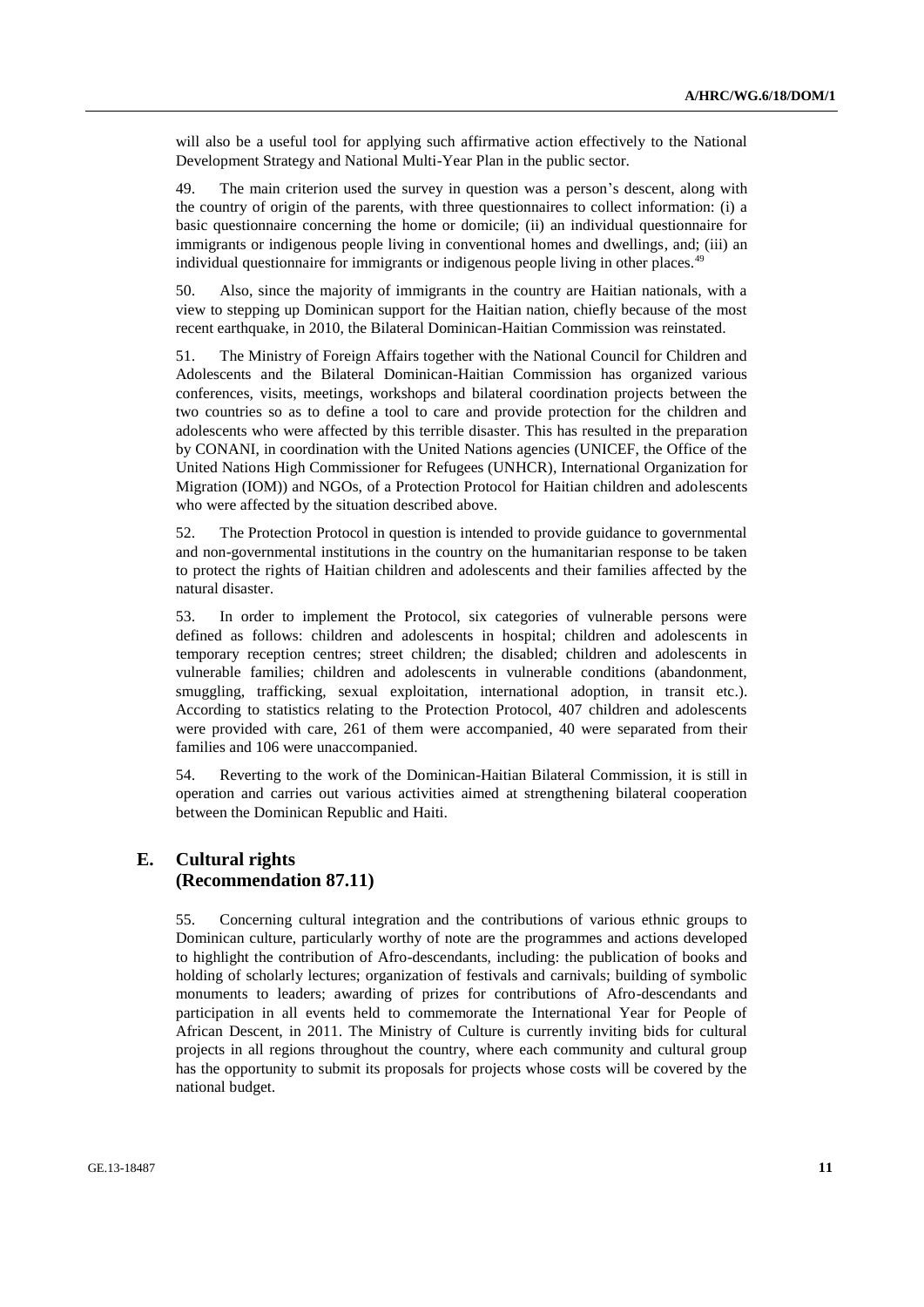will also be a useful tool for applying such affirmative action effectively to the National Development Strategy and National Multi-Year Plan in the public sector.

49. The main criterion used the survey in question was a person's descent, along with the country of origin of the parents, with three questionnaires to collect information: (i) a basic questionnaire concerning the home or domicile; (ii) an individual questionnaire for immigrants or indigenous people living in conventional homes and dwellings, and; (iii) an individual questionnaire for immigrants or indigenous people living in other places.<sup>49</sup>

50. Also, since the majority of immigrants in the country are Haitian nationals, with a view to stepping up Dominican support for the Haitian nation, chiefly because of the most recent earthquake, in 2010, the Bilateral Dominican-Haitian Commission was reinstated.

51. The Ministry of Foreign Affairs together with the National Council for Children and Adolescents and the Bilateral Dominican-Haitian Commission has organized various conferences, visits, meetings, workshops and bilateral coordination projects between the two countries so as to define a tool to care and provide protection for the children and adolescents who were affected by this terrible disaster. This has resulted in the preparation by CONANI, in coordination with the United Nations agencies (UNICEF, the Office of the United Nations High Commissioner for Refugees (UNHCR), International Organization for Migration (IOM)) and NGOs, of a Protection Protocol for Haitian children and adolescents who were affected by the situation described above.

52. The Protection Protocol in question is intended to provide guidance to governmental and non-governmental institutions in the country on the humanitarian response to be taken to protect the rights of Haitian children and adolescents and their families affected by the natural disaster.

53. In order to implement the Protocol, six categories of vulnerable persons were defined as follows: children and adolescents in hospital; children and adolescents in temporary reception centres; street children; the disabled; children and adolescents in vulnerable families; children and adolescents in vulnerable conditions (abandonment, smuggling, trafficking, sexual exploitation, international adoption, in transit etc.). According to statistics relating to the Protection Protocol, 407 children and adolescents were provided with care, 261 of them were accompanied, 40 were separated from their families and 106 were unaccompanied.

54. Reverting to the work of the Dominican-Haitian Bilateral Commission, it is still in operation and carries out various activities aimed at strengthening bilateral cooperation between the Dominican Republic and Haiti.

#### **E. Cultural rights (Recommendation 87.11)**

55. Concerning cultural integration and the contributions of various ethnic groups to Dominican culture, particularly worthy of note are the programmes and actions developed to highlight the contribution of Afro-descendants, including: the publication of books and holding of scholarly lectures; organization of festivals and carnivals; building of symbolic monuments to leaders; awarding of prizes for contributions of Afro-descendants and participation in all events held to commemorate the International Year for People of African Descent, in 2011. The Ministry of Culture is currently inviting bids for cultural projects in all regions throughout the country, where each community and cultural group has the opportunity to submit its proposals for projects whose costs will be covered by the national budget.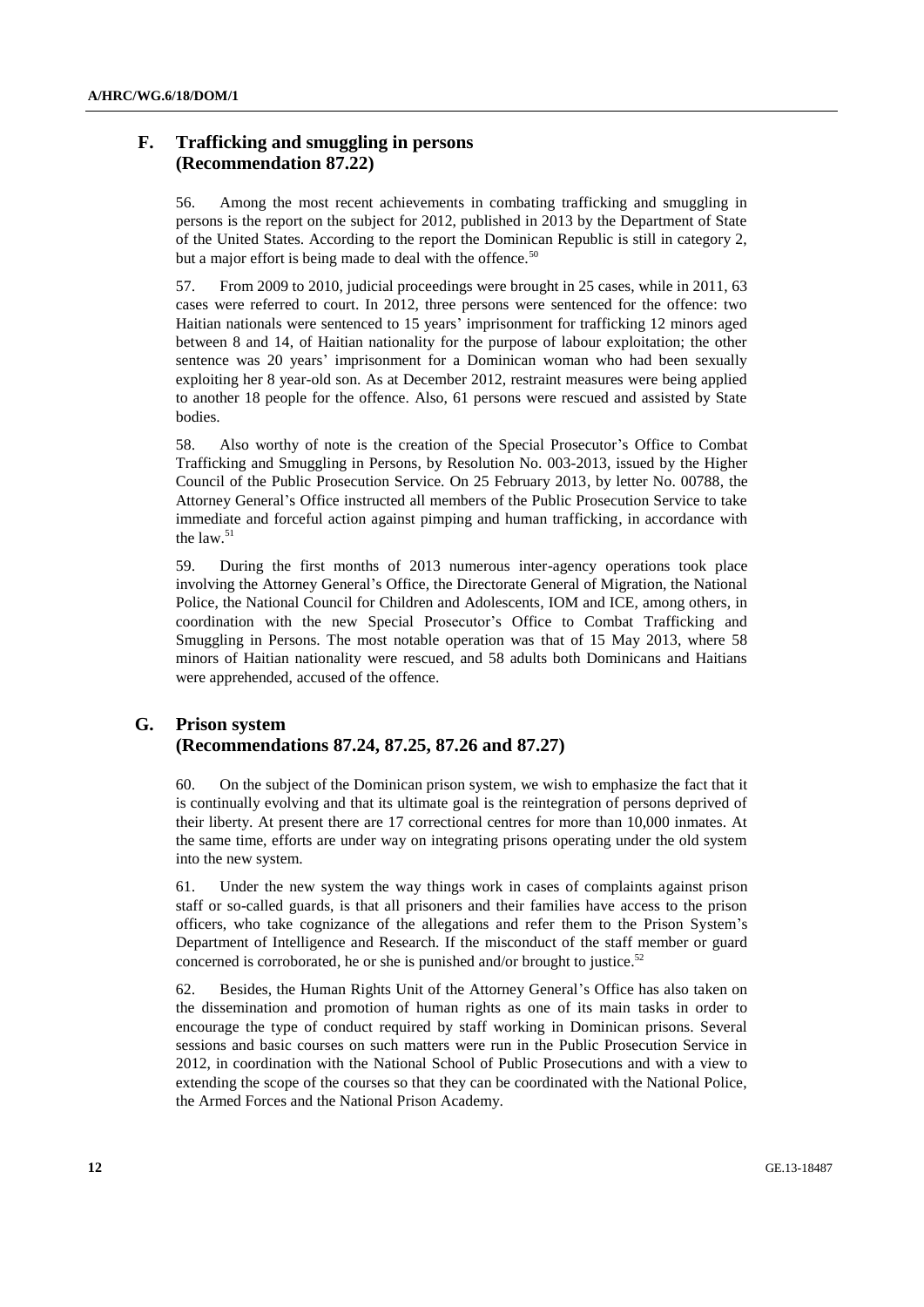### **F. Trafficking and smuggling in persons (Recommendation 87.22)**

56. Among the most recent achievements in combating trafficking and smuggling in persons is the report on the subject for 2012, published in 2013 by the Department of State of the United States. According to the report the Dominican Republic is still in category 2, but a major effort is being made to deal with the offence.<sup>50</sup>

57. From 2009 to 2010, judicial proceedings were brought in 25 cases, while in 2011, 63 cases were referred to court. In 2012, three persons were sentenced for the offence: two Haitian nationals were sentenced to 15 years' imprisonment for trafficking 12 minors aged between 8 and 14, of Haitian nationality for the purpose of labour exploitation; the other sentence was 20 years' imprisonment for a Dominican woman who had been sexually exploiting her 8 year-old son. As at December 2012, restraint measures were being applied to another 18 people for the offence. Also, 61 persons were rescued and assisted by State bodies.

58. Also worthy of note is the creation of the Special Prosecutor's Office to Combat Trafficking and Smuggling in Persons, by Resolution No. 003-2013, issued by the Higher Council of the Public Prosecution Service. On 25 February 2013, by letter No. 00788, the Attorney General's Office instructed all members of the Public Prosecution Service to take immediate and forceful action against pimping and human trafficking, in accordance with the law. 51

59. During the first months of 2013 numerous inter-agency operations took place involving the Attorney General's Office, the Directorate General of Migration, the National Police, the National Council for Children and Adolescents, IOM and ICE, among others, in coordination with the new Special Prosecutor's Office to Combat Trafficking and Smuggling in Persons. The most notable operation was that of 15 May 2013, where 58 minors of Haitian nationality were rescued, and 58 adults both Dominicans and Haitians were apprehended, accused of the offence.

# **G. Prison system (Recommendations 87.24, 87.25, 87.26 and 87.27)**

60. On the subject of the Dominican prison system, we wish to emphasize the fact that it is continually evolving and that its ultimate goal is the reintegration of persons deprived of their liberty. At present there are 17 correctional centres for more than 10,000 inmates. At the same time, efforts are under way on integrating prisons operating under the old system into the new system.

61. Under the new system the way things work in cases of complaints against prison staff or so-called guards, is that all prisoners and their families have access to the prison officers, who take cognizance of the allegations and refer them to the Prison System's Department of Intelligence and Research. If the misconduct of the staff member or guard concerned is corroborated, he or she is punished and/or brought to justice. 52

62. Besides, the Human Rights Unit of the Attorney General's Office has also taken on the dissemination and promotion of human rights as one of its main tasks in order to encourage the type of conduct required by staff working in Dominican prisons. Several sessions and basic courses on such matters were run in the Public Prosecution Service in 2012, in coordination with the National School of Public Prosecutions and with a view to extending the scope of the courses so that they can be coordinated with the National Police, the Armed Forces and the National Prison Academy.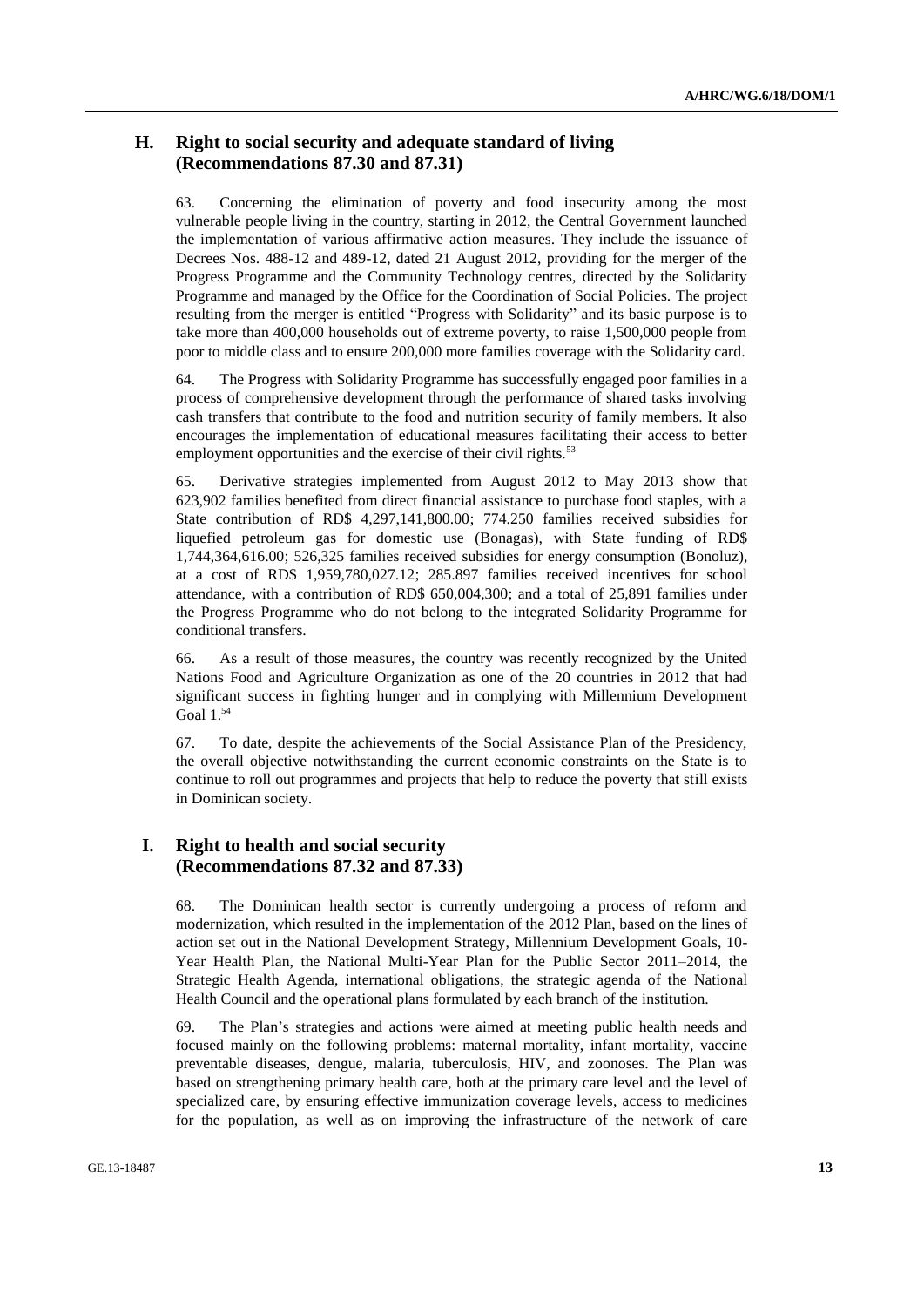### **H. Right to social security and adequate standard of living (Recommendations 87.30 and 87.31)**

63. Concerning the elimination of poverty and food insecurity among the most vulnerable people living in the country, starting in 2012, the Central Government launched the implementation of various affirmative action measures. They include the issuance of Decrees Nos. 488-12 and 489-12, dated 21 August 2012, providing for the merger of the Progress Programme and the Community Technology centres, directed by the Solidarity Programme and managed by the Office for the Coordination of Social Policies. The project resulting from the merger is entitled "Progress with Solidarity" and its basic purpose is to take more than 400,000 households out of extreme poverty, to raise 1,500,000 people from poor to middle class and to ensure 200,000 more families coverage with the Solidarity card.

64. The Progress with Solidarity Programme has successfully engaged poor families in a process of comprehensive development through the performance of shared tasks involving cash transfers that contribute to the food and nutrition security of family members. It also encourages the implementation of educational measures facilitating their access to better employment opportunities and the exercise of their civil rights. $53$ 

65. Derivative strategies implemented from August 2012 to May 2013 show that 623,902 families benefited from direct financial assistance to purchase food staples, with a State contribution of RD\$ 4,297,141,800.00; 774.250 families received subsidies for liquefied petroleum gas for domestic use (Bonagas), with State funding of RD\$ 1,744,364,616.00; 526,325 families received subsidies for energy consumption (Bonoluz), at a cost of RD\$ 1,959,780,027.12; 285.897 families received incentives for school attendance, with a contribution of RD\$ 650,004,300; and a total of 25,891 families under the Progress Programme who do not belong to the integrated Solidarity Programme for conditional transfers.

66. As a result of those measures, the country was recently recognized by the United Nations Food and Agriculture Organization as one of the 20 countries in 2012 that had significant success in fighting hunger and in complying with Millennium Development Goal  $1.^{54}$ 

67. To date, despite the achievements of the Social Assistance Plan of the Presidency, the overall objective notwithstanding the current economic constraints on the State is to continue to roll out programmes and projects that help to reduce the poverty that still exists in Dominican society.

### **I. Right to health and social security (Recommendations 87.32 and 87.33)**

68. The Dominican health sector is currently undergoing a process of reform and modernization, which resulted in the implementation of the 2012 Plan, based on the lines of action set out in the National Development Strategy, Millennium Development Goals, 10- Year Health Plan, the National Multi-Year Plan for the Public Sector 2011–2014, the Strategic Health Agenda, international obligations, the strategic agenda of the National Health Council and the operational plans formulated by each branch of the institution.

69. The Plan's strategies and actions were aimed at meeting public health needs and focused mainly on the following problems: maternal mortality, infant mortality, vaccine preventable diseases, dengue, malaria, tuberculosis, HIV, and zoonoses. The Plan was based on strengthening primary health care, both at the primary care level and the level of specialized care, by ensuring effective immunization coverage levels, access to medicines for the population, as well as on improving the infrastructure of the network of care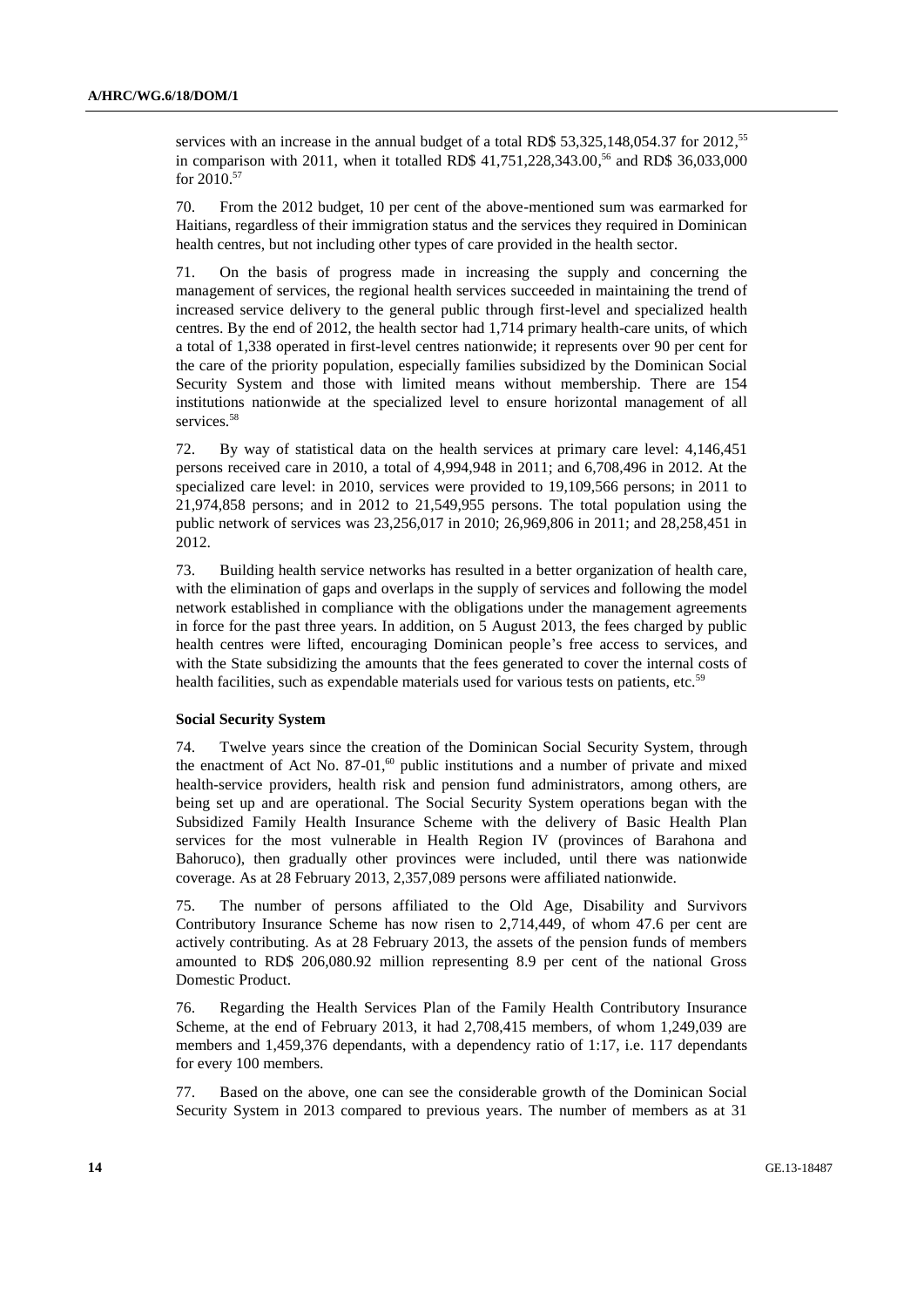services with an increase in the annual budget of a total RD\$ 53,325,148,054.37 for 2012,<sup>55</sup> in comparison with 2011, when it totalled RD\$ 41,751,228,343.00, <sup>56</sup> and RD\$ 36,033,000 for 2010.<sup>57</sup>

70. From the 2012 budget, 10 per cent of the above-mentioned sum was earmarked for Haitians, regardless of their immigration status and the services they required in Dominican health centres, but not including other types of care provided in the health sector.

71. On the basis of progress made in increasing the supply and concerning the management of services, the regional health services succeeded in maintaining the trend of increased service delivery to the general public through first-level and specialized health centres. By the end of 2012, the health sector had 1,714 primary health-care units, of which a total of 1,338 operated in first-level centres nationwide; it represents over 90 per cent for the care of the priority population, especially families subsidized by the Dominican Social Security System and those with limited means without membership. There are 154 institutions nationwide at the specialized level to ensure horizontal management of all services.<sup>58</sup>

72. By way of statistical data on the health services at primary care level: 4,146,451 persons received care in 2010, a total of 4,994,948 in 2011; and 6,708,496 in 2012. At the specialized care level: in 2010, services were provided to 19,109,566 persons; in 2011 to 21,974,858 persons; and in 2012 to 21,549,955 persons. The total population using the public network of services was 23,256,017 in 2010; 26,969,806 in 2011; and 28,258,451 in 2012.

73. Building health service networks has resulted in a better organization of health care, with the elimination of gaps and overlaps in the supply of services and following the model network established in compliance with the obligations under the management agreements in force for the past three years. In addition, on 5 August 2013, the fees charged by public health centres were lifted, encouraging Dominican people's free access to services, and with the State subsidizing the amounts that the fees generated to cover the internal costs of health facilities, such as expendable materials used for various tests on patients, etc.<sup>59</sup>

#### **Social Security System**

74. Twelve years since the creation of the Dominican Social Security System, through the enactment of Act No.  $87-01$ ,<sup>60</sup> public institutions and a number of private and mixed health-service providers, health risk and pension fund administrators, among others, are being set up and are operational. The Social Security System operations began with the Subsidized Family Health Insurance Scheme with the delivery of Basic Health Plan services for the most vulnerable in Health Region IV (provinces of Barahona and Bahoruco), then gradually other provinces were included, until there was nationwide coverage. As at 28 February 2013, 2,357,089 persons were affiliated nationwide.

75. The number of persons affiliated to the Old Age, Disability and Survivors Contributory Insurance Scheme has now risen to 2,714,449, of whom 47.6 per cent are actively contributing. As at 28 February 2013, the assets of the pension funds of members amounted to RD\$ 206,080.92 million representing 8.9 per cent of the national Gross Domestic Product.

76. Regarding the Health Services Plan of the Family Health Contributory Insurance Scheme, at the end of February 2013, it had 2,708,415 members, of whom 1,249,039 are members and 1,459,376 dependants, with a dependency ratio of 1:17, i.e. 117 dependants for every 100 members.

77. Based on the above, one can see the considerable growth of the Dominican Social Security System in 2013 compared to previous years. The number of members as at 31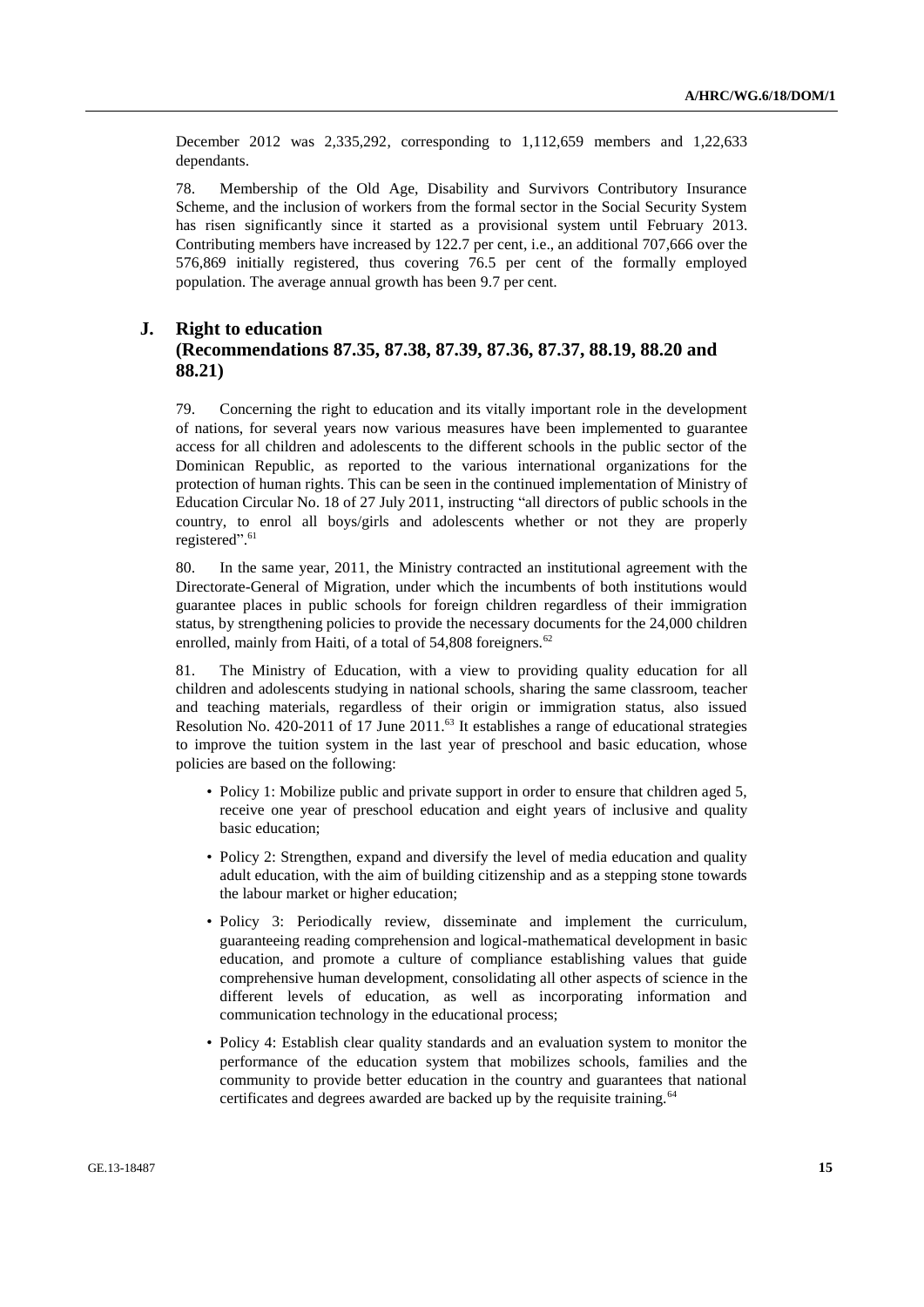December 2012 was 2,335,292, corresponding to 1,112,659 members and 1,22,633 dependants.

78. Membership of the Old Age, Disability and Survivors Contributory Insurance Scheme, and the inclusion of workers from the formal sector in the Social Security System has risen significantly since it started as a provisional system until February 2013. Contributing members have increased by 122.7 per cent, i.e., an additional 707,666 over the 576,869 initially registered, thus covering 76.5 per cent of the formally employed population. The average annual growth has been 9.7 per cent.

### **J. Right to education (Recommendations 87.35, 87.38, 87.39, 87.36, 87.37, 88.19, 88.20 and 88.21)**

79. Concerning the right to education and its vitally important role in the development of nations, for several years now various measures have been implemented to guarantee access for all children and adolescents to the different schools in the public sector of the Dominican Republic, as reported to the various international organizations for the protection of human rights. This can be seen in the continued implementation of Ministry of Education Circular No. 18 of 27 July 2011, instructing "all directors of public schools in the country, to enrol all boys/girls and adolescents whether or not they are properly registered". 61

80. In the same year, 2011, the Ministry contracted an institutional agreement with the Directorate-General of Migration, under which the incumbents of both institutions would guarantee places in public schools for foreign children regardless of their immigration status, by strengthening policies to provide the necessary documents for the 24,000 children enrolled, mainly from Haiti, of a total of  $54,808$  foreigners.<sup>62</sup>

81. The Ministry of Education, with a view to providing quality education for all children and adolescents studying in national schools, sharing the same classroom, teacher and teaching materials, regardless of their origin or immigration status, also issued Resolution No. 420-2011 of 17 June 2011.<sup>63</sup> It establishes a range of educational strategies to improve the tuition system in the last year of preschool and basic education, whose policies are based on the following:

- Policy 1: Mobilize public and private support in order to ensure that children aged 5, receive one year of preschool education and eight years of inclusive and quality basic education;
- Policy 2: Strengthen, expand and diversify the level of media education and quality adult education, with the aim of building citizenship and as a stepping stone towards the labour market or higher education;
- Policy 3: Periodically review, disseminate and implement the curriculum, guaranteeing reading comprehension and logical-mathematical development in basic education, and promote a culture of compliance establishing values that guide comprehensive human development, consolidating all other aspects of science in the different levels of education, as well as incorporating information and communication technology in the educational process;
- Policy 4: Establish clear quality standards and an evaluation system to monitor the performance of the education system that mobilizes schools, families and the community to provide better education in the country and guarantees that national certificates and degrees awarded are backed up by the requisite training.<sup>64</sup>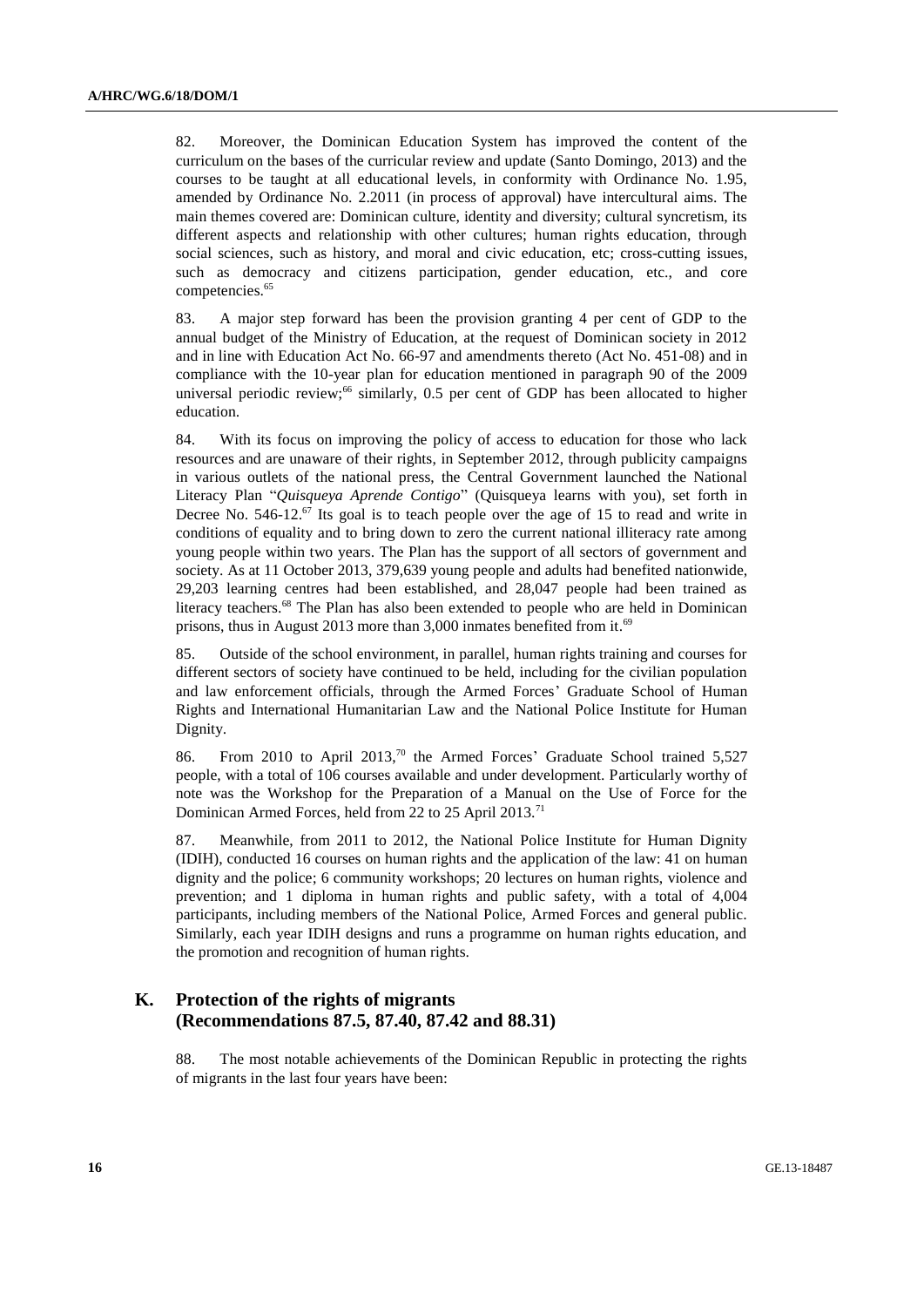82. Moreover, the Dominican Education System has improved the content of the curriculum on the bases of the curricular review and update (Santo Domingo, 2013) and the courses to be taught at all educational levels, in conformity with Ordinance No. 1.95, amended by Ordinance No. 2.2011 (in process of approval) have intercultural aims. The main themes covered are: Dominican culture, identity and diversity; cultural syncretism, its different aspects and relationship with other cultures; human rights education, through social sciences, such as history, and moral and civic education, etc; cross-cutting issues, such as democracy and citizens participation, gender education, etc., and core competencies. 65

83. A major step forward has been the provision granting 4 per cent of GDP to the annual budget of the Ministry of Education, at the request of Dominican society in 2012 and in line with Education Act No. 66-97 and amendments thereto (Act No. 451-08) and in compliance with the 10-year plan for education mentioned in paragraph 90 of the 2009 universal periodic review; $66$  similarly, 0.5 per cent of GDP has been allocated to higher education.

84. With its focus on improving the policy of access to education for those who lack resources and are unaware of their rights, in September 2012, through publicity campaigns in various outlets of the national press, the Central Government launched the National Literacy Plan "*Quisqueya Aprende Contigo*" (Quisqueya learns with you), set forth in Decree No.  $546-12.^{67}$  Its goal is to teach people over the age of 15 to read and write in conditions of equality and to bring down to zero the current national illiteracy rate among young people within two years. The Plan has the support of all sectors of government and society. As at 11 October 2013, 379,639 young people and adults had benefited nationwide, 29,203 learning centres had been established, and 28,047 people had been trained as literacy teachers.<sup>68</sup> The Plan has also been extended to people who are held in Dominican prisons, thus in August 2013 more than 3,000 inmates benefited from it.<sup>69</sup>

85. Outside of the school environment, in parallel, human rights training and courses for different sectors of society have continued to be held, including for the civilian population and law enforcement officials, through the Armed Forces' Graduate School of Human Rights and International Humanitarian Law and the National Police Institute for Human Dignity.

86. From 2010 to April 2013,<sup>70</sup> the Armed Forces' Graduate School trained 5,527 people, with a total of 106 courses available and under development. Particularly worthy of note was the Workshop for the Preparation of a Manual on the Use of Force for the Dominican Armed Forces, held from 22 to 25 April 2013.<sup>71</sup>

87. Meanwhile, from 2011 to 2012, the National Police Institute for Human Dignity (IDIH), conducted 16 courses on human rights and the application of the law: 41 on human dignity and the police; 6 community workshops; 20 lectures on human rights, violence and prevention; and 1 diploma in human rights and public safety, with a total of 4,004 participants, including members of the National Police, Armed Forces and general public. Similarly, each year IDIH designs and runs a programme on human rights education, and the promotion and recognition of human rights.

### **K. Protection of the rights of migrants (Recommendations 87.5, 87.40, 87.42 and 88.31)**

88. The most notable achievements of the Dominican Republic in protecting the rights of migrants in the last four years have been: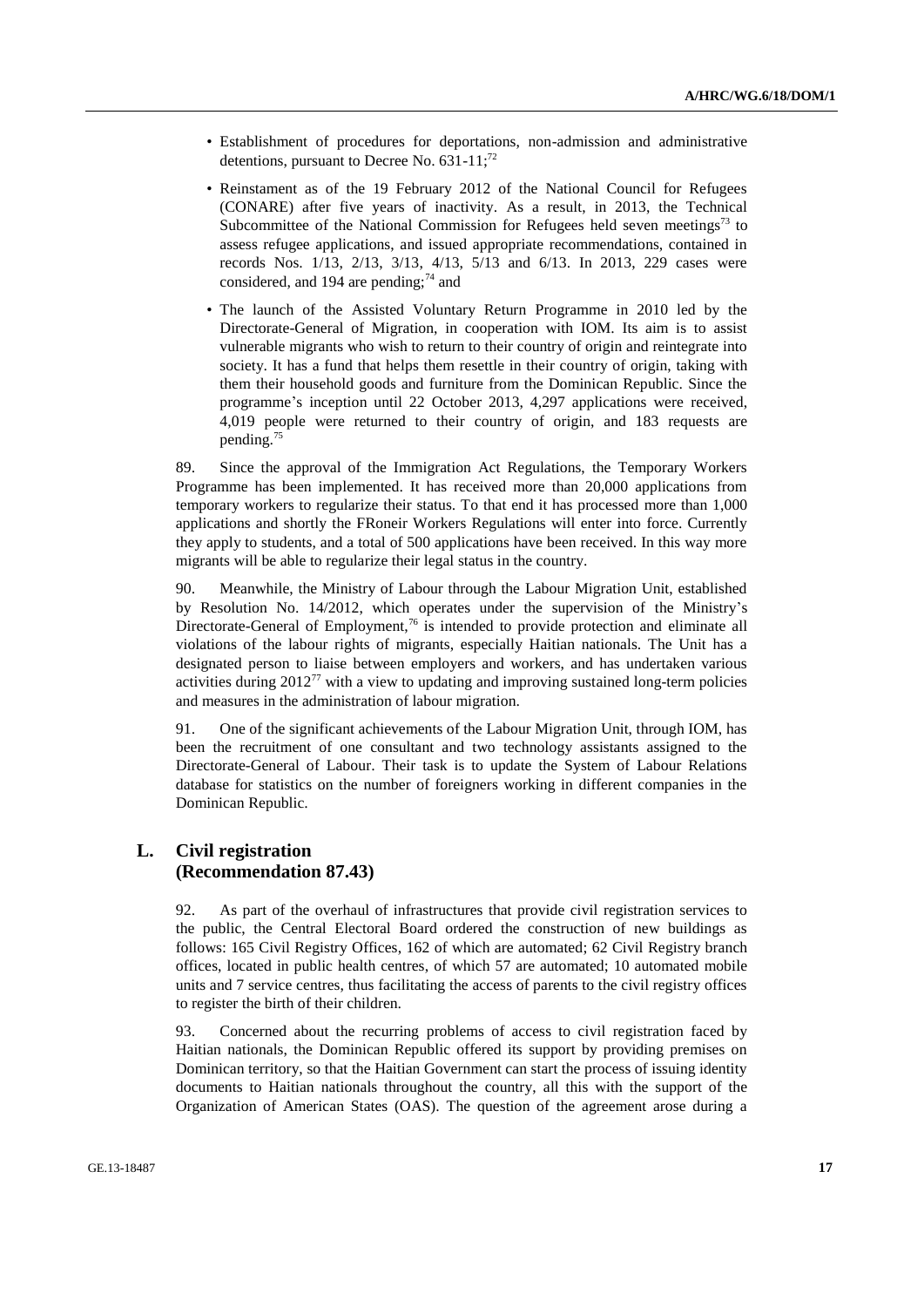- Establishment of procedures for deportations, non-admission and administrative detentions, pursuant to Decree No.  $631-11$ ;<sup>72</sup>
- Reinstament as of the 19 February 2012 of the National Council for Refugees (CONARE) after five years of inactivity. As a result, in 2013, the Technical Subcommittee of the National Commission for Refugees held seven meetings<sup>73</sup> to assess refugee applications, and issued appropriate recommendations, contained in records Nos. 1/13, 2/13, 3/13, 4/13, 5/13 and 6/13. In 2013, 229 cases were considered, and 194 are pending; $^{74}$  and
- The launch of the Assisted Voluntary Return Programme in 2010 led by the Directorate-General of Migration, in cooperation with IOM. Its aim is to assist vulnerable migrants who wish to return to their country of origin and reintegrate into society. It has a fund that helps them resettle in their country of origin, taking with them their household goods and furniture from the Dominican Republic. Since the programme's inception until 22 October 2013, 4,297 applications were received, 4,019 people were returned to their country of origin, and 183 requests are pending.<sup>75</sup>

89. Since the approval of the Immigration Act Regulations, the Temporary Workers Programme has been implemented. It has received more than 20,000 applications from temporary workers to regularize their status. To that end it has processed more than 1,000 applications and shortly the FRoneir Workers Regulations will enter into force. Currently they apply to students, and a total of 500 applications have been received. In this way more migrants will be able to regularize their legal status in the country.

90. Meanwhile, the Ministry of Labour through the Labour Migration Unit, established by Resolution No. 14/2012, which operates under the supervision of the Ministry's Directorate-General of Employment,<sup>76</sup> is intended to provide protection and eliminate all violations of the labour rights of migrants, especially Haitian nationals. The Unit has a designated person to liaise between employers and workers, and has undertaken various activities during  $2012^{77}$  with a view to updating and improving sustained long-term policies and measures in the administration of labour migration.

91. One of the significant achievements of the Labour Migration Unit, through IOM, has been the recruitment of one consultant and two technology assistants assigned to the Directorate-General of Labour. Their task is to update the System of Labour Relations database for statistics on the number of foreigners working in different companies in the Dominican Republic.

### **L. Civil registration (Recommendation 87.43)**

92. As part of the overhaul of infrastructures that provide civil registration services to the public, the Central Electoral Board ordered the construction of new buildings as follows: 165 Civil Registry Offices, 162 of which are automated; 62 Civil Registry branch offices, located in public health centres, of which 57 are automated; 10 automated mobile units and 7 service centres, thus facilitating the access of parents to the civil registry offices to register the birth of their children.

93. Concerned about the recurring problems of access to civil registration faced by Haitian nationals, the Dominican Republic offered its support by providing premises on Dominican territory, so that the Haitian Government can start the process of issuing identity documents to Haitian nationals throughout the country, all this with the support of the Organization of American States (OAS). The question of the agreement arose during a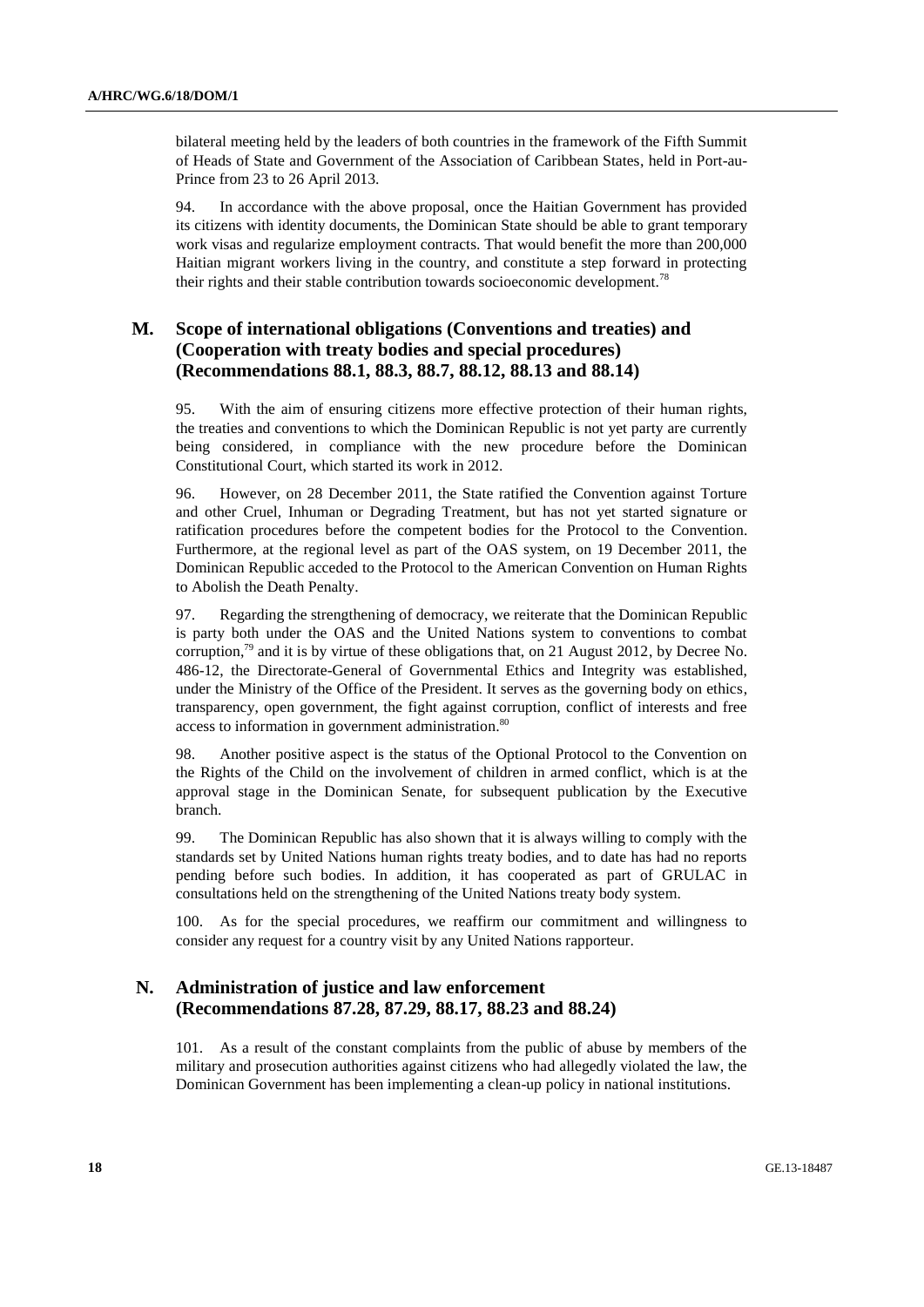bilateral meeting held by the leaders of both countries in the framework of the Fifth Summit of Heads of State and Government of the Association of Caribbean States, held in Port-au-Prince from 23 to 26 April 2013.

94. In accordance with the above proposal, once the Haitian Government has provided its citizens with identity documents, the Dominican State should be able to grant temporary work visas and regularize employment contracts. That would benefit the more than 200,000 Haitian migrant workers living in the country, and constitute a step forward in protecting their rights and their stable contribution towards socioeconomic development.<sup>78</sup>

### **M. Scope of international obligations (Conventions and treaties) and (Cooperation with treaty bodies and special procedures) (Recommendations 88.1, 88.3, 88.7, 88.12, 88.13 and 88.14)**

95. With the aim of ensuring citizens more effective protection of their human rights, the treaties and conventions to which the Dominican Republic is not yet party are currently being considered, in compliance with the new procedure before the Dominican Constitutional Court, which started its work in 2012.

96. However, on 28 December 2011, the State ratified the Convention against Torture and other Cruel, Inhuman or Degrading Treatment, but has not yet started signature or ratification procedures before the competent bodies for the Protocol to the Convention. Furthermore, at the regional level as part of the OAS system, on 19 December 2011, the Dominican Republic acceded to the Protocol to the American Convention on Human Rights to Abolish the Death Penalty.

97. Regarding the strengthening of democracy, we reiterate that the Dominican Republic is party both under the OAS and the United Nations system to conventions to combat corruption,<sup>79</sup> and it is by virtue of these obligations that, on 21 August 2012, by Decree No. 486-12, the Directorate-General of Governmental Ethics and Integrity was established, under the Ministry of the Office of the President. It serves as the governing body on ethics, transparency, open government, the fight against corruption, conflict of interests and free access to information in government administration.<sup>80</sup>

98. Another positive aspect is the status of the Optional Protocol to the Convention on the Rights of the Child on the involvement of children in armed conflict, which is at the approval stage in the Dominican Senate, for subsequent publication by the Executive branch.

99. The Dominican Republic has also shown that it is always willing to comply with the standards set by United Nations human rights treaty bodies, and to date has had no reports pending before such bodies. In addition, it has cooperated as part of GRULAC in consultations held on the strengthening of the United Nations treaty body system.

100. As for the special procedures, we reaffirm our commitment and willingness to consider any request for a country visit by any United Nations rapporteur.

### **N. Administration of justice and law enforcement (Recommendations 87.28, 87.29, 88.17, 88.23 and 88.24)**

101. As a result of the constant complaints from the public of abuse by members of the military and prosecution authorities against citizens who had allegedly violated the law, the Dominican Government has been implementing a clean-up policy in national institutions.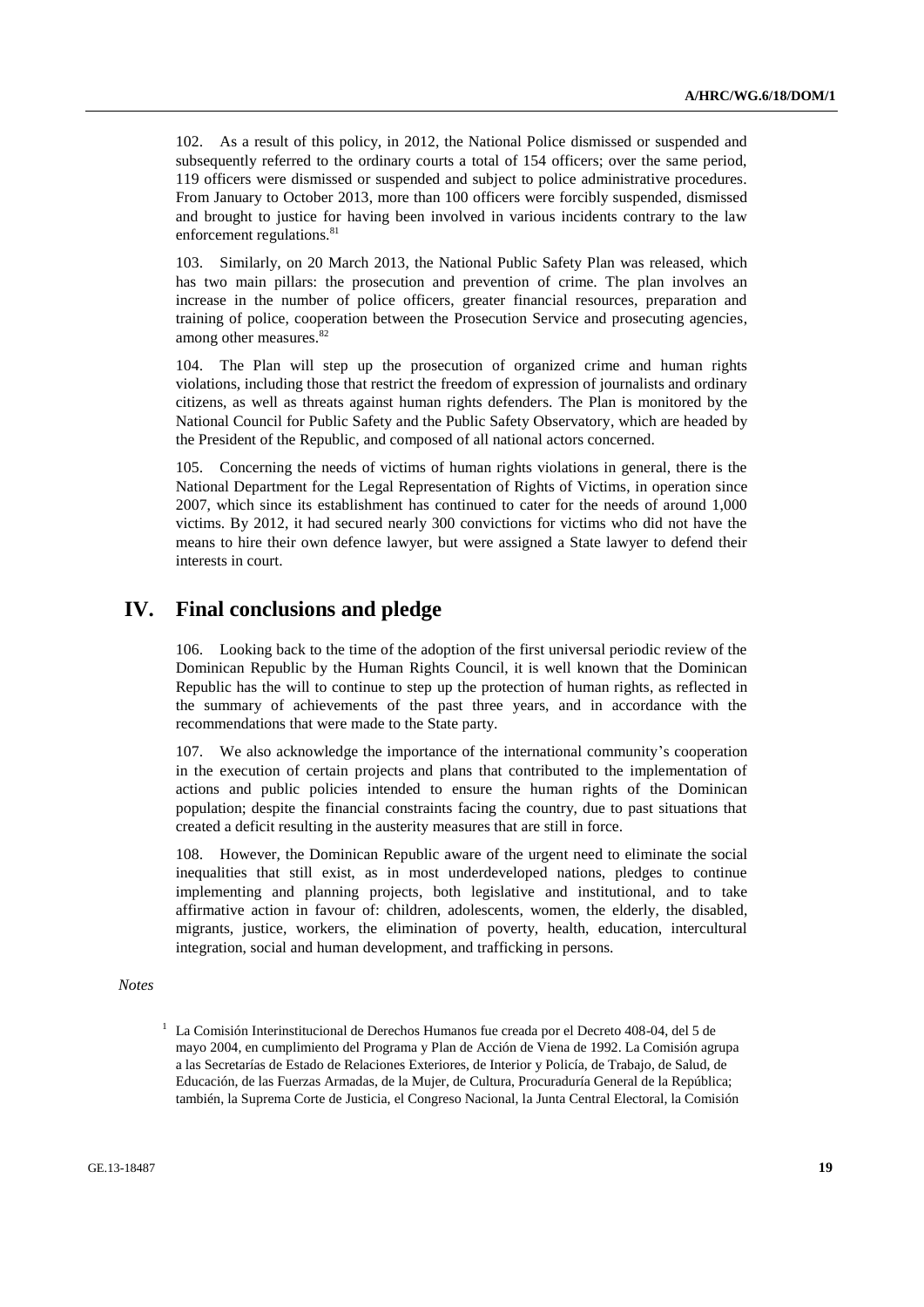102. As a result of this policy, in 2012, the National Police dismissed or suspended and subsequently referred to the ordinary courts a total of 154 officers; over the same period, 119 officers were dismissed or suspended and subject to police administrative procedures. From January to October 2013, more than 100 officers were forcibly suspended, dismissed and brought to justice for having been involved in various incidents contrary to the law enforcement regulations.<sup>81</sup>

103. Similarly, on 20 March 2013, the National Public Safety Plan was released, which has two main pillars: the prosecution and prevention of crime. The plan involves an increase in the number of police officers, greater financial resources, preparation and training of police, cooperation between the Prosecution Service and prosecuting agencies, among other measures.<sup>82</sup>

104. The Plan will step up the prosecution of organized crime and human rights violations, including those that restrict the freedom of expression of journalists and ordinary citizens, as well as threats against human rights defenders. The Plan is monitored by the National Council for Public Safety and the Public Safety Observatory, which are headed by the President of the Republic, and composed of all national actors concerned.

105. Concerning the needs of victims of human rights violations in general, there is the National Department for the Legal Representation of Rights of Victims, in operation since 2007, which since its establishment has continued to cater for the needs of around 1,000 victims. By 2012, it had secured nearly 300 convictions for victims who did not have the means to hire their own defence lawyer, but were assigned a State lawyer to defend their interests in court.

# **IV. Final conclusions and pledge**

106. Looking back to the time of the adoption of the first universal periodic review of the Dominican Republic by the Human Rights Council, it is well known that the Dominican Republic has the will to continue to step up the protection of human rights, as reflected in the summary of achievements of the past three years, and in accordance with the recommendations that were made to the State party.

107. We also acknowledge the importance of the international community's cooperation in the execution of certain projects and plans that contributed to the implementation of actions and public policies intended to ensure the human rights of the Dominican population; despite the financial constraints facing the country, due to past situations that created a deficit resulting in the austerity measures that are still in force.

108. However, the Dominican Republic aware of the urgent need to eliminate the social inequalities that still exist, as in most underdeveloped nations, pledges to continue implementing and planning projects, both legislative and institutional, and to take affirmative action in favour of: children, adolescents, women, the elderly, the disabled, migrants, justice, workers, the elimination of poverty, health, education, intercultural integration, social and human development, and trafficking in persons.

#### *Notes*

<sup>1</sup> La Comisión Interinstitucional de Derechos Humanos fue creada por el Decreto 408-04, del 5 de mayo 2004, en cumplimiento del Programa y Plan de Acción de Viena de 1992. La Comisión agrupa a las Secretarías de Estado de Relaciones Exteriores, de Interior y Policía, de Trabajo, de Salud, de Educación, de las Fuerzas Armadas, de la Mujer, de Cultura, Procuraduría General de la República; también, la Suprema Corte de Justicia, el Congreso Nacional, la Junta Central Electoral, la Comisión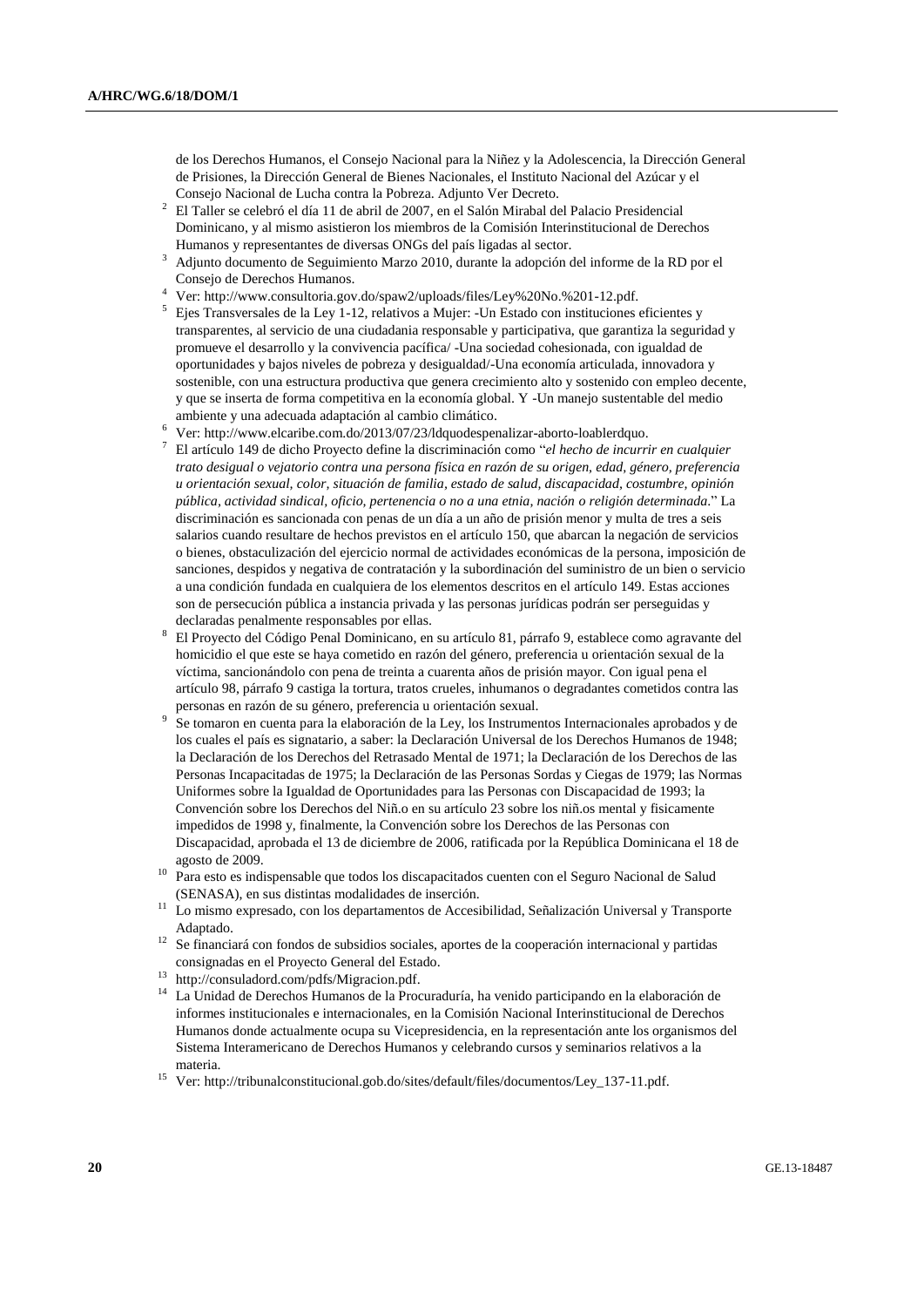de los Derechos Humanos, el Consejo Nacional para la Niñez y la Adolescencia, la Dirección General de Prisiones, la Dirección General de Bienes Nacionales, el Instituto Nacional del Azúcar y el Consejo Nacional de Lucha contra la Pobreza. Adjunto Ver Decreto.

- <sup>2</sup> El Taller se celebró el día 11 de abril de 2007, en el Salón Mirabal del Palacio Presidencial Dominicano, y al mismo asistieron los miembros de la Comisión Interinstitucional de Derechos Humanos y representantes de diversas ONGs del país ligadas al sector.
- <sup>3</sup> Adjunto documento de Seguimiento Marzo 2010, durante la adopción del informe de la RD por el Consejo de Derechos Humanos.
- <sup>4</sup> Ver: [http://www.consultoria.gov.do/spaw2/uploads/files/Ley%20No.%201-12.pdf.](http://www.consultoria.gov.do/spaw2/uploads/files/Ley%20No.%201-12.pdf)
- <sup>5</sup> Ejes Transversales de la Ley 1-12, relativos a Mujer: -Un Estado con instituciones eficientes y transparentes, al servicio de una ciudadania responsable y participativa, que garantiza la seguridad y promueve el desarrollo y la convivencia pacífica/ -Una sociedad cohesionada, con igualdad de oportunidades y bajos niveles de pobreza y desigualdad/-Una economía articulada, innovadora y sostenible, con una estructura productiva que genera crecimiento alto y sostenido con empleo decente, y que se inserta de forma competitiva en la economía global. Y -Un manejo sustentable del medio ambiente y una adecuada adaptación al cambio climático.
- <sup>6</sup> Ver[: http://www.elcaribe.com.do/2013/07/23/ldquodespenalizar-aborto-loablerdquo.](http://www.elcaribe.com.do/2013/07/23/ldquodespenalizar-aborto-loablerdquo)
- <sup>7</sup> El artículo 149 de dicho Proyecto define la discriminación como "*el hecho de incurrir en cualquier trato desigual o vejatorio contra una persona física en razón de su origen, edad, género, preferencia u orientación sexual, color, situación de familia, estado de salud, discapacidad, costumbre, opinión pública, actividad sindical, oficio, pertenencia o no a una etnia, nación o religión determinada*." La discriminación es sancionada con penas de un día a un año de prisión menor y multa de tres a seis salarios cuando resultare de hechos previstos en el artículo 150, que abarcan la negación de servicios o bienes, obstaculización del ejercicio normal de actividades económicas de la persona, imposición de sanciones, despidos y negativa de contratación y la subordinación del suministro de un bien o servicio a una condición fundada en cualquiera de los elementos descritos en el artículo 149. Estas acciones son de persecución pública a instancia privada y las personas jurídicas podrán ser perseguidas y declaradas penalmente responsables por ellas.
- <sup>8</sup> El Proyecto del Código Penal Dominicano, en su artículo 81, párrafo 9, establece como agravante del homicidio el que este se haya cometido en razón del género, preferencia u orientación sexual de la víctima, sancionándolo con pena de treinta a cuarenta años de prisión mayor. Con igual pena el artículo 98, párrafo 9 castiga la tortura, tratos crueles, inhumanos o degradantes cometidos contra las personas en razón de su género, preferencia u orientación sexual.
- 9 Se tomaron en cuenta para la elaboración de la Ley, los Instrumentos Internacionales aprobados y de los cuales el país es signatario, a saber: la Declaración Universal de los Derechos Humanos de 1948; la Declaración de los Derechos del Retrasado Mental de 1971; la Declaración de los Derechos de las Personas Incapacitadas de 1975; la Declaración de las Personas Sordas y Ciegas de 1979; las Normas Uniformes sobre la Igualdad de Oportunidades para las Personas con Discapacidad de 1993; la Convención sobre los Derechos del Niñ.o en su artículo 23 sobre los niñ.os mental y fisicamente impedidos de 1998 y, finalmente, la Convención sobre los Derechos de las Personas con Discapacidad, aprobada el 13 de diciembre de 2006, ratificada por la República Dominicana el 18 de agosto de 2009.
- <sup>10</sup> Para esto es indispensable que todos los discapacitados cuenten con el Seguro Nacional de Salud (SENASA), en sus distintas modalidades de inserción.
- <sup>11</sup> Lo mismo expresado, con los departamentos de Accesibilidad, Señalización Universal y Transporte Adaptado.
- <sup>12</sup> Se financiará con fondos de subsidios sociales, aportes de la cooperación internacional y partidas consignadas en el Proyecto General del Estado.
- <sup>13</sup> [http://consuladord.com/pdfs/Migracion.pdf.](http://consuladord.com/pdfs/Migracion.pdf)
- <sup>14</sup> La Unidad de Derechos Humanos de la Procuraduría, ha venido participando en la elaboración de informes institucionales e internacionales, en la Comisión Nacional Interinstitucional de Derechos Humanos donde actualmente ocupa su Vicepresidencia, en la representación ante los organismos del Sistema Interamericano de Derechos Humanos y celebrando cursos y seminarios relativos a la materia.
- <sup>15</sup> Ver[: http://tribunalconstitucional.gob.do/sites/default/files/documentos/Ley\\_137-11.pdf.](http://tribunalconstitucional.gob.do/sites/default/files/documentos/Ley_137-11.pdf)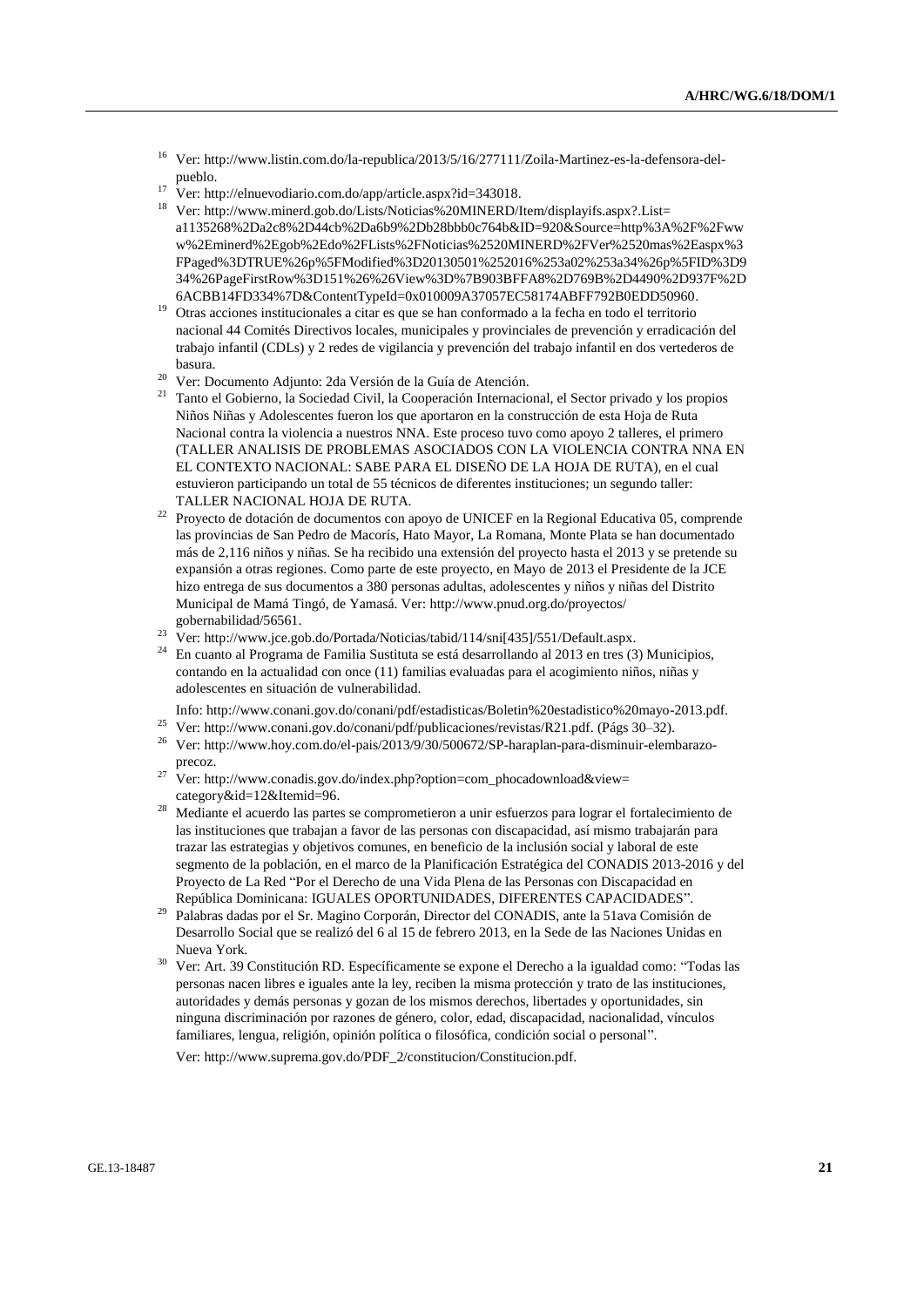- <sup>16</sup> Ver[: http://www.listin.com.do/la-republica/2013/5/16/277111/Zoila-Martinez-es-la-defensora-del](http://www.listin.com.do/la-republica/2013/5/16/277111/Zoila-Martinez-es-la-defensora-del-pueblo)[pueblo.](http://www.listin.com.do/la-republica/2013/5/16/277111/Zoila-Martinez-es-la-defensora-del-pueblo)
- <sup>17</sup> Ver[: http://elnuevodiario.com.do/app/article.aspx?id=343018.](http://elnuevodiario.com.do/app/article.aspx?id=343018)
- <sup>18</sup> Ver[: http://www.minerd.gob.do/Lists/Noticias%20MINERD/Item/displayifs.aspx?.List=](http://www.minerd.gob.do/Lists/Noticias%20MINERD/Item/displayifs.aspx?List=a1135268%2Da2c8%2D44cb%2Da6b9%2Db28bbb0c764b&ID=920&Source=http%3A%2F%2Fwww%2Eminerd%2Egob%2Edo%2FLists%2FNoticias%2520MINERD%2FVer%2520mas%2Easpx%3FPaged%3DTRUE%26p%5FModified%3D20130501%252016%253a02%253a34%26p%5FID%3D934%26PageFirstRow%3D151%26%26View%3D%7B903BFFA8%2D769B%2D4490%2D937F%2D6ACBB14FD334%7D&ContentTypeId=0x010009A37057EC58174ABFF792B0EDD50960) [a1135268%2Da2c8%2D44cb%2Da6b9%2Db28bbb0c764b&ID=920&Source=http%3A%2F%2Fww](http://www.minerd.gob.do/Lists/Noticias%20MINERD/Item/displayifs.aspx?List=a1135268%2Da2c8%2D44cb%2Da6b9%2Db28bbb0c764b&ID=920&Source=http%3A%2F%2Fwww%2Eminerd%2Egob%2Edo%2FLists%2FNoticias%2520MINERD%2FVer%2520mas%2Easpx%3FPaged%3DTRUE%26p%5FModified%3D20130501%252016%253a02%253a34%26p%5FID%3D934%26PageFirstRow%3D151%26%26View%3D%7B903BFFA8%2D769B%2D4490%2D937F%2D6ACBB14FD334%7D&ContentTypeId=0x010009A37057EC58174ABFF792B0EDD50960) [w%2Eminerd%2Egob%2Edo%2FLists%2FNoticias%2520MINERD%2FVer%2520mas%2Easpx%3](http://www.minerd.gob.do/Lists/Noticias%20MINERD/Item/displayifs.aspx?List=a1135268%2Da2c8%2D44cb%2Da6b9%2Db28bbb0c764b&ID=920&Source=http%3A%2F%2Fwww%2Eminerd%2Egob%2Edo%2FLists%2FNoticias%2520MINERD%2FVer%2520mas%2Easpx%3FPaged%3DTRUE%26p%5FModified%3D20130501%252016%253a02%253a34%26p%5FID%3D934%26PageFirstRow%3D151%26%26View%3D%7B903BFFA8%2D769B%2D4490%2D937F%2D6ACBB14FD334%7D&ContentTypeId=0x010009A37057EC58174ABFF792B0EDD50960) [FPaged%3DTRUE%26p%5FModified%3D20130501%252016%253a02%253a34%26p%5FID%3D9](http://www.minerd.gob.do/Lists/Noticias%20MINERD/Item/displayifs.aspx?List=a1135268%2Da2c8%2D44cb%2Da6b9%2Db28bbb0c764b&ID=920&Source=http%3A%2F%2Fwww%2Eminerd%2Egob%2Edo%2FLists%2FNoticias%2520MINERD%2FVer%2520mas%2Easpx%3FPaged%3DTRUE%26p%5FModified%3D20130501%252016%253a02%253a34%26p%5FID%3D934%26PageFirstRow%3D151%26%26View%3D%7B903BFFA8%2D769B%2D4490%2D937F%2D6ACBB14FD334%7D&ContentTypeId=0x010009A37057EC58174ABFF792B0EDD50960) [34%26PageFirstRow%3D151%26%26View%3D%7B903BFFA8%2D769B%2D4490%2D937F%2D](http://www.minerd.gob.do/Lists/Noticias%20MINERD/Item/displayifs.aspx?List=a1135268%2Da2c8%2D44cb%2Da6b9%2Db28bbb0c764b&ID=920&Source=http%3A%2F%2Fwww%2Eminerd%2Egob%2Edo%2FLists%2FNoticias%2520MINERD%2FVer%2520mas%2Easpx%3FPaged%3DTRUE%26p%5FModified%3D20130501%252016%253a02%253a34%26p%5FID%3D934%26PageFirstRow%3D151%26%26View%3D%7B903BFFA8%2D769B%2D4490%2D937F%2D6ACBB14FD334%7D&ContentTypeId=0x010009A37057EC58174ABFF792B0EDD50960) [6ACBB14FD334%7D&ContentTypeId=0x010009A37057EC58174ABFF792B0EDD50960.](http://www.minerd.gob.do/Lists/Noticias%20MINERD/Item/displayifs.aspx?List=a1135268%2Da2c8%2D44cb%2Da6b9%2Db28bbb0c764b&ID=920&Source=http%3A%2F%2Fwww%2Eminerd%2Egob%2Edo%2FLists%2FNoticias%2520MINERD%2FVer%2520mas%2Easpx%3FPaged%3DTRUE%26p%5FModified%3D20130501%252016%253a02%253a34%26p%5FID%3D934%26PageFirstRow%3D151%26%26View%3D%7B903BFFA8%2D769B%2D4490%2D937F%2D6ACBB14FD334%7D&ContentTypeId=0x010009A37057EC58174ABFF792B0EDD50960)
- <sup>19</sup> Otras acciones institucionales a citar es que se han conformado a la fecha en todo el territorio nacional 44 Comités Directivos locales, municipales y provinciales de prevención y erradicación del trabajo infantil (CDLs) y 2 redes de vigilancia y prevención del trabajo infantil en dos vertederos de basura.
- <sup>20</sup> Ver: Documento Adjunto: 2da Versión de la Guía de Atención.
- <sup>21</sup> Tanto el Gobierno, la Sociedad Civil, la Cooperación Internacional, el Sector privado y los propios Niños Niñas y Adolescentes fueron los que aportaron en la construcción de esta Hoja de Ruta Nacional contra la violencia a nuestros NNA. Este proceso tuvo como apoyo 2 talleres, el primero (TALLER ANALISIS DE PROBLEMAS ASOCIADOS CON LA VIOLENCIA CONTRA NNA EN EL CONTEXTO NACIONAL: SABE PARA EL DISEÑO DE LA HOJA DE RUTA), en el cual estuvieron participando un total de 55 técnicos de diferentes instituciones; un segundo taller: TALLER NACIONAL HOJA DE RUTA.
- <sup>22</sup> Proyecto de dotación de documentos con apoyo de UNICEF en la Regional Educativa 05, comprende las provincias de San Pedro de Macorís, Hato Mayor, La Romana, Monte Plata se han documentado más de 2,116 niños y niñas. Se ha recibido una extensión del proyecto hasta el 2013 y se pretende su expansión a otras regiones. Como parte de este proyecto, en Mayo de 2013 el Presidente de la JCE hizo entrega de sus documentos a 380 personas adultas, adolescentes y niños y niñas del Distrito Municipal de Mamá Tingó, de Yamasá. Ver: [http://www.pnud.org.do/proyectos/](http://www.pnud.org.do/proyectos/gobernabilidad/56561)  [gobernabilidad/56561.](http://www.pnud.org.do/proyectos/gobernabilidad/56561)
- <sup>23</sup> Ver[: http://www.jce.gob.do/Portada/Noticias/tabid/114/sni\[435\]/551/Default.aspx.](http://www.jce.gob.do/Portada/Noticias/tabid/114/sni%5b435%5d/551/Default.aspx)
- <sup>24</sup> En cuanto al Programa de Familia Sustituta se está desarrollando al 2013 en tres (3) Municipios, contando en la actualidad con once (11) familias evaluadas para el acogimiento niños, niñas y adolescentes en situación de vulnerabilidad.
- Info: [http://www.conani.gov.do/conani/pdf/estadisticas/Boletin%20estadistico%20mayo-2013.pdf.](http://www.conani.gov.do/conani/pdf/estadisticas/Boletin%20estadistico%20mayo-2013.pdf) <sup>25</sup> Ver[: http://www.conani.gov.do/conani/pdf/publicaciones/revistas/R21.pdf.](http://www.conani.gov.do/conani/pdf/publicaciones/revistas/R21.pdf) (Págs 30–32).
- <sup>26</sup> Ver[: http://www.hoy.com.do/el-pais/2013/9/30/500672/SP-haraplan-para-disminuir-elembarazo](http://www.hoy.com.do/el-pais/2013/9/30/500672/SP-haraplan-para-disminuir-elembarazo-precoz)[precoz.](http://www.hoy.com.do/el-pais/2013/9/30/500672/SP-haraplan-para-disminuir-elembarazo-precoz)
- <sup>27</sup> Ver[: http://www.conadis.gov.do/index.php?option=com\\_phocadownload&view=](http://www.conadis.gov.do/index.php?option=com_phocadownload&view=category&id=12&Itemid=96) [category&id=12&Itemid=96.](http://www.conadis.gov.do/index.php?option=com_phocadownload&view=category&id=12&Itemid=96)
- <sup>28</sup> Mediante el acuerdo las partes se comprometieron a unir esfuerzos para lograr el fortalecimiento de las instituciones que trabajan a favor de las personas con discapacidad, así mismo trabajarán para trazar las estrategias y objetivos comunes, en beneficio de la inclusión social y laboral de este segmento de la población, en el marco de la Planificación Estratégica del CONADIS 2013-2016 y del Proyecto de La Red "Por el Derecho de una Vida Plena de las Personas con Discapacidad en República Dominicana: IGUALES OPORTUNIDADES, DIFERENTES CAPACIDADES".
- <sup>29</sup> Palabras dadas por el Sr. Magino Corporán, Director del CONADIS, ante la 51ava Comisión de Desarrollo Social que se realizó del 6 al 15 de febrero 2013, en la Sede de las Naciones Unidas en Nueva York.
- <sup>30</sup> Ver: Art. 39 Constitución RD. Específicamente se expone el Derecho a la igualdad como: "Todas las personas nacen libres e iguales ante la ley, reciben la misma protección y trato de las instituciones, autoridades y demás personas y gozan de los mismos derechos, libertades y oportunidades, sin ninguna discriminación por razones de género, color, edad, discapacidad, nacionalidad, vínculos familiares, lengua, religión, opinión política o filosófica, condición social o personal".

Ver: [http://www.suprema.gov.do/PDF\\_2/constitucion/Constitucion.pdf.](http://www.suprema.gov.do/PDF_2/constitucion/Constitucion.pdf)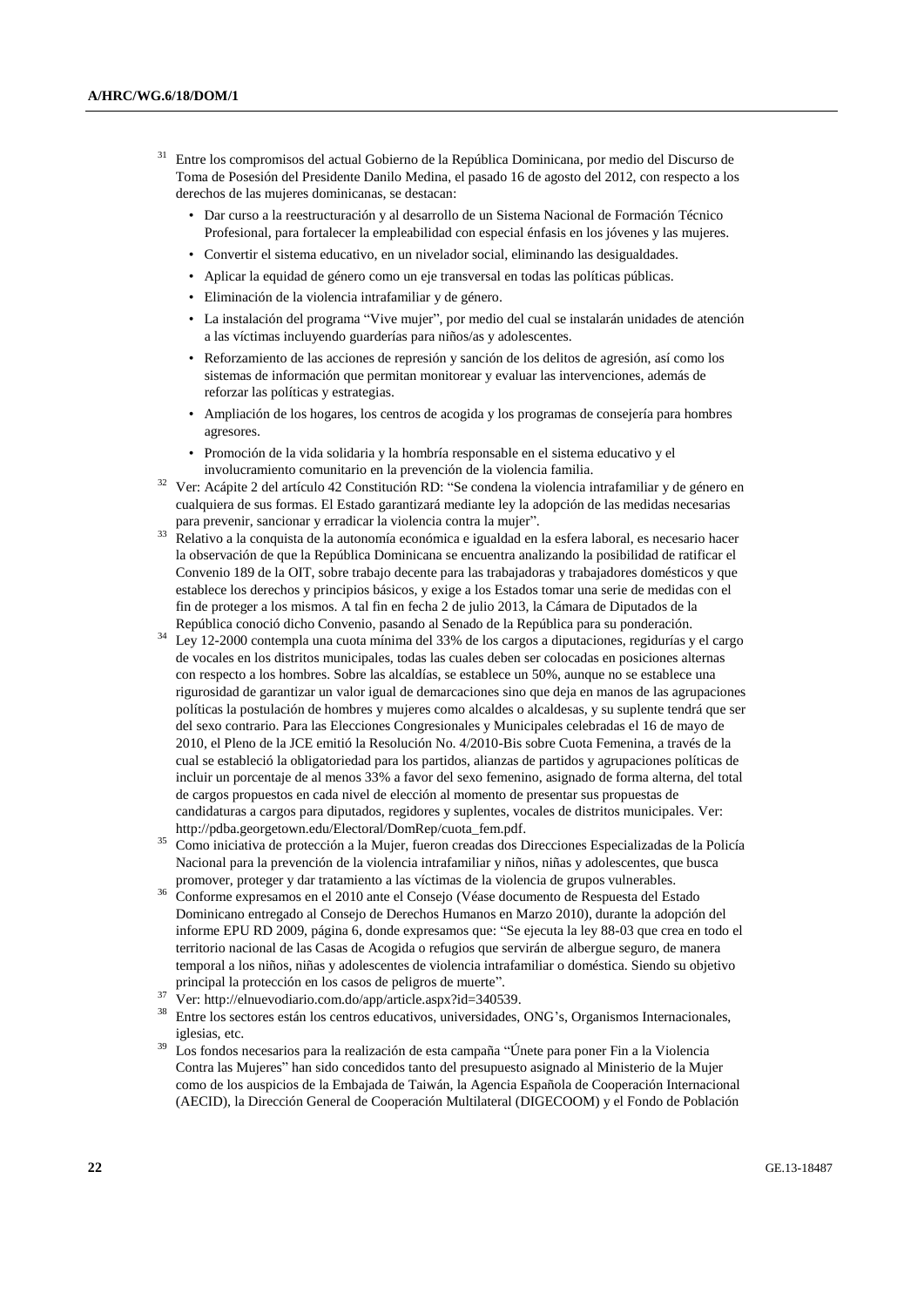- <sup>31</sup> Entre los compromisos del actual Gobierno de la República Dominicana, por medio del Discurso de Toma de Posesión del Presidente Danilo Medina, el pasado 16 de agosto del 2012, con respecto a los derechos de las mujeres dominicanas, se destacan:
	- Dar curso a la reestructuración y al desarrollo de un Sistema Nacional de Formación Técnico Profesional, para fortalecer la empleabilidad con especial énfasis en los jóvenes y las mujeres.
	- Convertir el sistema educativo, en un nivelador social, eliminando las desigualdades.
	- Aplicar la equidad de género como un eje transversal en todas las políticas públicas.
	- Eliminación de la violencia intrafamiliar y de género.
	- La instalación del programa "Vive mujer", por medio del cual se instalarán unidades de atención a las víctimas incluyendo guarderías para niños/as y adolescentes.
	- Reforzamiento de las acciones de represión y sanción de los delitos de agresión, así como los sistemas de información que permitan monitorear y evaluar las intervenciones, además de reforzar las políticas y estrategias.
	- Ampliación de los hogares, los centros de acogida y los programas de consejería para hombres agresores.
	- Promoción de la vida solidaria y la hombría responsable en el sistema educativo y el involucramiento comunitario en la prevención de la violencia familia.
- <sup>32</sup> Ver: Acápite 2 del artículo 42 Constitución RD: "Se condena la violencia intrafamiliar y de género en cualquiera de sus formas. El Estado garantizará mediante ley la adopción de las medidas necesarias para prevenir, sancionar y erradicar la violencia contra la mujer".
- <sup>33</sup> Relativo a la conquista de la autonomía económica e igualdad en la esfera laboral, es necesario hacer la observación de que la República Dominicana se encuentra analizando la posibilidad de ratificar el Convenio 189 de la OIT, sobre trabajo decente para las trabajadoras y trabajadores domésticos y que establece los derechos y principios básicos, y exige a los Estados tomar una serie de medidas con el fin de proteger a los mismos. A tal fin en fecha 2 de julio 2013, la Cámara de Diputados de la República conoció dicho Convenio, pasando al Senado de la República para su ponderación.
- <sup>34</sup> Ley 12-2000 contempla una cuota mínima del 33% de los cargos a diputaciones, regidurías y el cargo de vocales en los distritos municipales, todas las cuales deben ser colocadas en posiciones alternas con respecto a los hombres. Sobre las alcaldías, se establece un 50%, aunque no se establece una rigurosidad de garantizar un valor igual de demarcaciones sino que deja en manos de las agrupaciones políticas la postulación de hombres y mujeres como alcaldes o alcaldesas, y su suplente tendrá que ser del sexo contrario. Para las Elecciones Congresionales y Municipales celebradas el 16 de mayo de 2010, el Pleno de la JCE emitió la Resolución No. 4/2010-Bis sobre Cuota Femenina, a través de la cual se estableció la obligatoriedad para los partidos, alianzas de partidos y agrupaciones políticas de incluir un porcentaje de al menos 33% a favor del sexo femenino, asignado de forma alterna, del total de cargos propuestos en cada nivel de elección al momento de presentar sus propuestas de candidaturas a cargos para diputados, regidores y suplentes, vocales de distritos municipales. Ver: [http://pdba.georgetown.edu/Electoral/DomRep/cuota\\_fem.pdf.](http://pdba.georgetown.edu/Electoral/DomRep/cuota_fem.pdf)
- <sup>35</sup> Como iniciativa de protección a la Mujer, fueron creadas dos Direcciones Especializadas de la Policía Nacional para la prevención de la violencia intrafamiliar y niños, niñas y adolescentes, que busca promover, proteger y dar tratamiento a las víctimas de la violencia de grupos vulnerables.
- <sup>36</sup> Conforme expresamos en el 2010 ante el Consejo (Véase documento de Respuesta del Estado Dominicano entregado al Consejo de Derechos Humanos en Marzo 2010), durante la adopción del informe EPU RD 2009, página 6, donde expresamos que: "Se ejecuta la ley 88-03 que crea en todo el territorio nacional de las Casas de Acogida o refugios que servirán de albergue seguro, de manera temporal a los niños, niñas y adolescentes de violencia intrafamiliar o doméstica. Siendo su objetivo principal la protección en los casos de peligros de muerte".
- <sup>37</sup> Ver[: http://elnuevodiario.com.do/app/article.aspx?id=340539.](http://elnuevodiario.com.do/app/article.aspx?id=340539)
- <sup>38</sup> Entre los sectores están los centros educativos, universidades, ONG's, Organismos Internacionales, iglesias, etc.
- Los fondos necesarios para la realización de esta campaña "Únete para poner Fin a la Violencia Contra las Mujeres" han sido concedidos tanto del presupuesto asignado al Ministerio de la Mujer como de los auspicios de la Embajada de Taiwán, la Agencia Española de Cooperación Internacional (AECID), la Dirección General de Cooperación Multilateral (DIGECOOM) y el Fondo de Población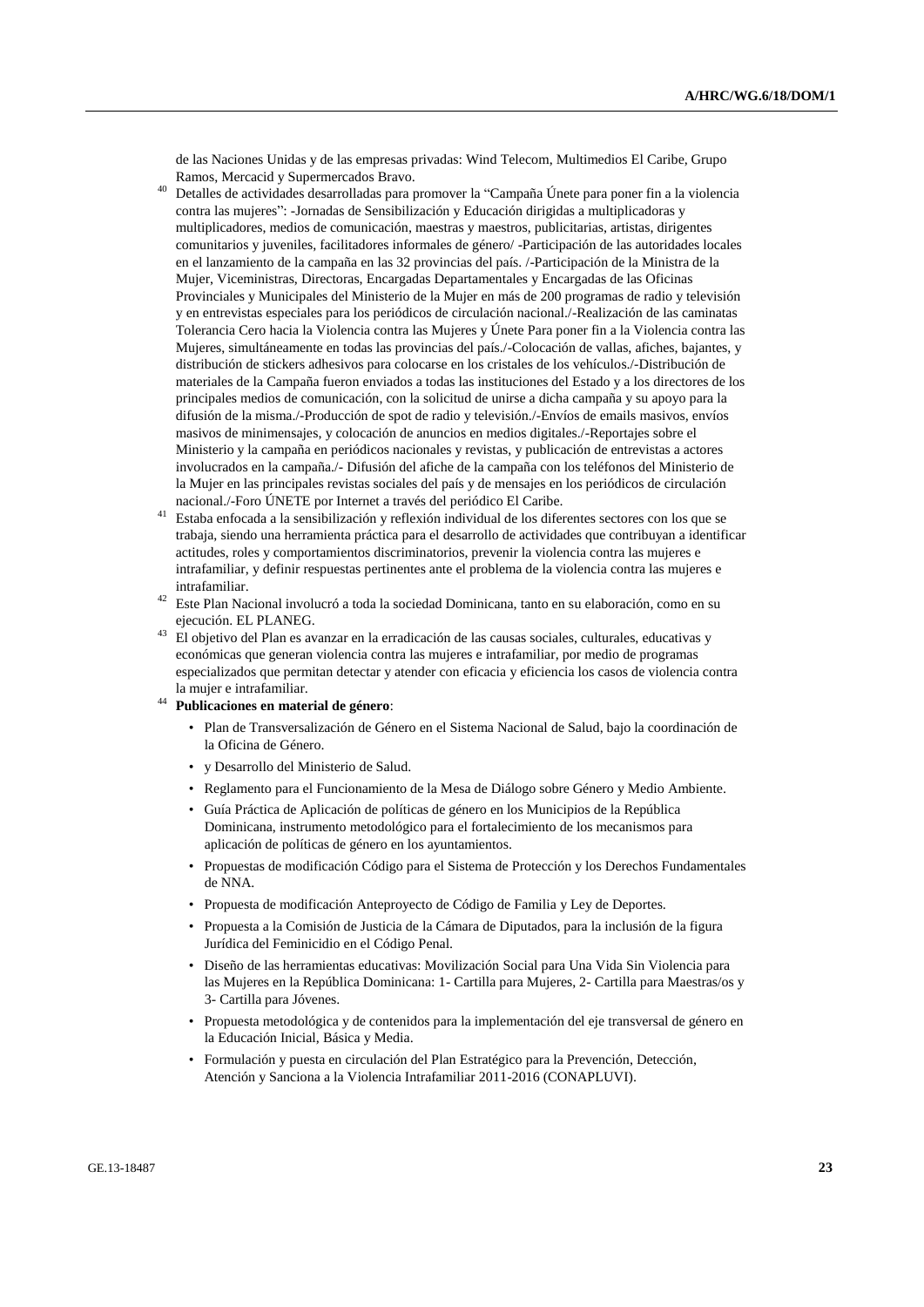de las Naciones Unidas y de las empresas privadas: Wind Telecom, Multimedios El Caribe, Grupo Ramos, Mercacid y Supermercados Bravo.

- <sup>40</sup> Detalles de actividades desarrolladas para promover la "Campaña Únete para poner fin a la violencia contra las mujeres": -Jornadas de Sensibilización y Educación dirigidas a multiplicadoras y multiplicadores, medios de comunicación, maestras y maestros, publicitarias, artistas, dirigentes comunitarios y juveniles, facilitadores informales de género/ -Participación de las autoridades locales en el lanzamiento de la campaña en las 32 provincias del país. /-Participación de la Ministra de la Mujer, Viceministras, Directoras, Encargadas Departamentales y Encargadas de las Oficinas Provinciales y Municipales del Ministerio de la Mujer en más de 200 programas de radio y televisión y en entrevistas especiales para los periódicos de circulación nacional./-Realización de las caminatas Tolerancia Cero hacia la Violencia contra las Mujeres y Únete Para poner fin a la Violencia contra las Mujeres, simultáneamente en todas las provincias del país./-Colocación de vallas, afiches, bajantes, y distribución de stickers adhesivos para colocarse en los cristales de los vehículos./-Distribución de materiales de la Campaña fueron enviados a todas las instituciones del Estado y a los directores de los principales medios de comunicación, con la solicitud de unirse a dicha campaña y su apoyo para la difusión de la misma./-Producción de spot de radio y televisión./-Envíos de emails masivos, envíos masivos de minimensajes, y colocación de anuncios en medios digitales./-Reportajes sobre el Ministerio y la campaña en periódicos nacionales y revistas, y publicación de entrevistas a actores involucrados en la campaña./- Difusión del afiche de la campaña con los teléfonos del Ministerio de la Mujer en las principales revistas sociales del país y de mensajes en los periódicos de circulación nacional./-Foro ÚNETE por Internet a través del periódico El Caribe.
- <sup>41</sup> Estaba enfocada a la sensibilización y reflexión individual de los diferentes sectores con los que se trabaja, siendo una herramienta práctica para el desarrollo de actividades que contribuyan a identificar actitudes, roles y comportamientos discriminatorios, prevenir la violencia contra las mujeres e intrafamiliar, y definir respuestas pertinentes ante el problema de la violencia contra las mujeres e intrafamiliar.
- <sup>42</sup> Este Plan Nacional involucró a toda la sociedad Dominicana, tanto en su elaboración, como en su ejecución. EL PLANEG.
- <sup>43</sup> El objetivo del Plan es avanzar en la erradicación de las causas sociales, culturales, educativas y económicas que generan violencia contra las mujeres e intrafamiliar, por medio de programas especializados que permitan detectar y atender con eficacia y eficiencia los casos de violencia contra la mujer e intrafamiliar.
- <sup>44</sup> **Publicaciones en material de género**:
	- Plan de Transversalización de Género en el Sistema Nacional de Salud, bajo la coordinación de la Oficina de Género.
	- y Desarrollo del Ministerio de Salud.
	- Reglamento para el Funcionamiento de la Mesa de Diálogo sobre Género y Medio Ambiente.
	- Guía Práctica de Aplicación de políticas de género en los Municipios de la República Dominicana, instrumento metodológico para el fortalecimiento de los mecanismos para aplicación de políticas de género en los ayuntamientos.
	- Propuestas de modificación Código para el Sistema de Protección y los Derechos Fundamentales de NNA.
	- Propuesta de modificación Anteproyecto de Código de Familia y Ley de Deportes.
	- Propuesta a la Comisión de Justicia de la Cámara de Diputados, para la inclusión de la figura Jurídica del Feminicidio en el Código Penal.
	- Diseño de las herramientas educativas: Movilización Social para Una Vida Sin Violencia para las Mujeres en la República Dominicana: 1- Cartilla para Mujeres, 2- Cartilla para Maestras/os y 3- Cartilla para Jóvenes.
	- Propuesta metodológica y de contenidos para la implementación del eje transversal de género en la Educación Inicial, Básica y Media.
	- Formulación y puesta en circulación del Plan Estratégico para la Prevención, Detección, Atención y Sanciona a la Violencia Intrafamiliar 2011-2016 (CONAPLUVI).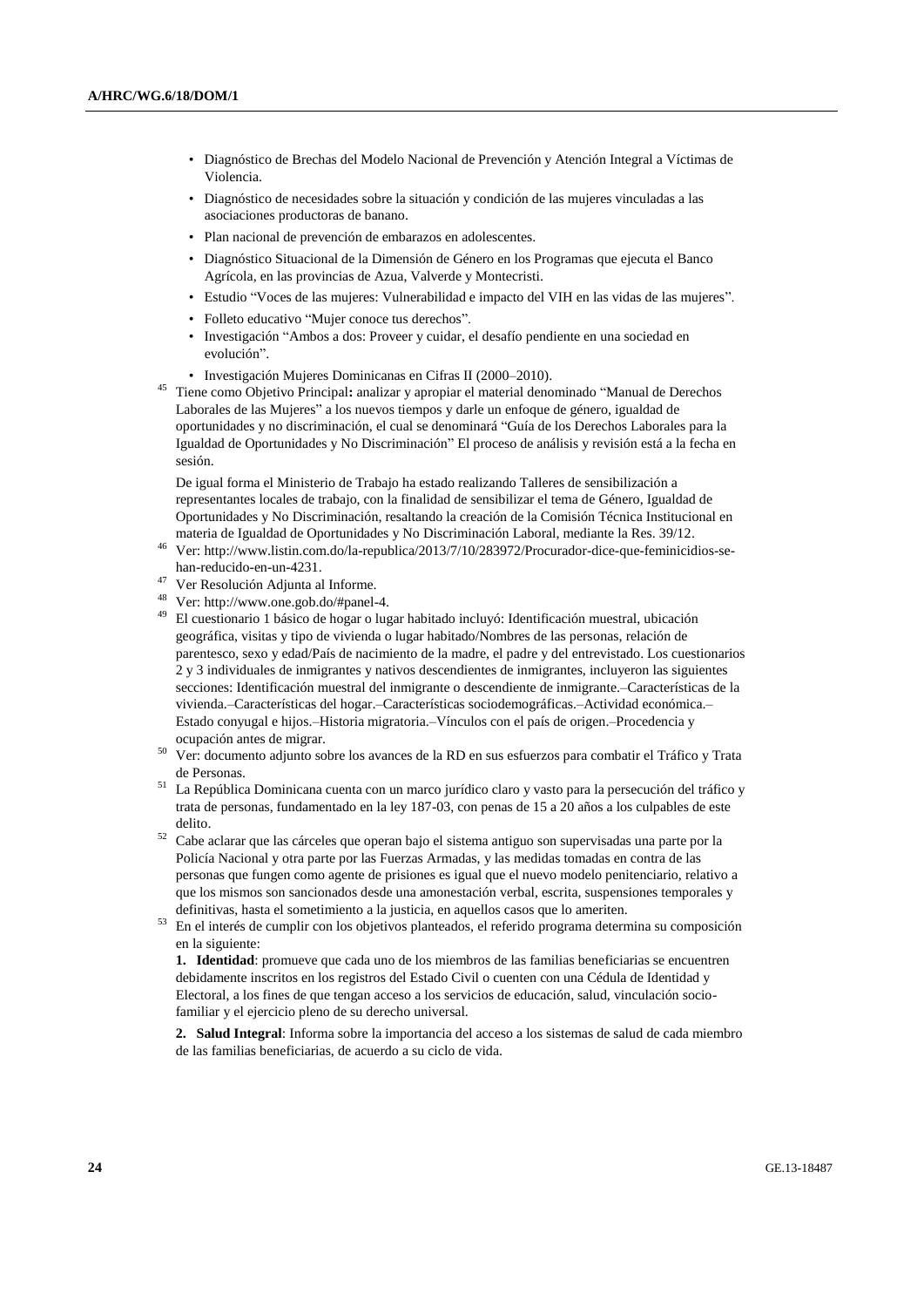- Diagnóstico de Brechas del Modelo Nacional de Prevención y Atención Integral a Víctimas de Violencia.
- Diagnóstico de necesidades sobre la situación y condición de las mujeres vinculadas a las asociaciones productoras de banano.
- Plan nacional de prevención de embarazos en adolescentes.
- Diagnóstico Situacional de la Dimensión de Género en los Programas que ejecuta el Banco Agrícola, en las provincias de Azua, Valverde y Montecristi.
- Estudio "Voces de las mujeres: Vulnerabilidad e impacto del VIH en las vidas de las mujeres".
- Folleto educativo "Mujer conoce tus derechos".
- Investigación "Ambos a dos: Proveer y cuidar, el desafío pendiente en una sociedad en evolución".
- Investigación Mujeres Dominicanas en Cifras II (2000–2010).
- <sup>45</sup> Tiene como Objetivo Principal**:** analizar y apropiar el material denominado "Manual de Derechos Laborales de las Mujeres" a los nuevos tiempos y darle un enfoque de género, igualdad de oportunidades y no discriminación, el cual se denominará "Guía de los Derechos Laborales para la Igualdad de Oportunidades y No Discriminación" El proceso de análisis y revisión está a la fecha en sesión.

De igual forma el Ministerio de Trabajo ha estado realizando Talleres de sensibilización a representantes locales de trabajo, con la finalidad de sensibilizar el tema de Género, Igualdad de Oportunidades y No Discriminación, resaltando la creación de la Comisión Técnica Institucional en materia de Igualdad de Oportunidades y No Discriminación Laboral, mediante la Res. 39/12.

- <sup>46</sup> Ver[: http://www.listin.com.do/la-republica/2013/7/10/283972/Procurador-dice-que-feminicidios-se](http://www.listin.com.do/la-republica/2013/7/10/283972/Procurador-dice-que-feminicidios-se-han-reducido-en-un-4231)[han-reducido-en-un-4231.](http://www.listin.com.do/la-republica/2013/7/10/283972/Procurador-dice-que-feminicidios-se-han-reducido-en-un-4231)
- <sup>47</sup> Ver Resolución Adjunta al Informe.
- <sup>48</sup> Ver[: http://www.one.gob.do/#panel-4.](http://www.one.gob.do/#panel-4)
- <sup>49</sup> El cuestionario 1 básico de hogar o lugar habitado incluyó: Identificación muestral, ubicación geográfica, visitas y tipo de vivienda o lugar habitado/Nombres de las personas, relación de parentesco, sexo y edad/País de nacimiento de la madre, el padre y del entrevistado. Los cuestionarios 2 y 3 individuales de inmigrantes y nativos descendientes de inmigrantes, incluyeron las siguientes secciones: Identificación muestral del inmigrante o descendiente de inmigrante.–Características de la vivienda.–Características del hogar.–Características sociodemográficas.–Actividad económica.– Estado conyugal e hijos.–Historia migratoria.–Vínculos con el país de origen.–Procedencia y ocupación antes de migrar.
- <sup>50</sup> Ver: documento adjunto sobre los avances de la RD en sus esfuerzos para combatir el Tráfico y Trata de Personas.
- <sup>51</sup> La República Dominicana cuenta con un marco jurídico claro y vasto para la persecución del tráfico y trata de personas, fundamentado en la ley 187-03, con penas de 15 a 20 años a los culpables de este delito.
- <sup>52</sup> Cabe aclarar que las cárceles que operan bajo el sistema antiguo son supervisadas una parte por la Policía Nacional y otra parte por las Fuerzas Armadas, y las medidas tomadas en contra de las personas que fungen como agente de prisiones es igual que el nuevo modelo penitenciario, relativo a que los mismos son sancionados desde una amonestación verbal, escrita, suspensiones temporales y definitivas, hasta el sometimiento a la justicia, en aquellos casos que lo ameriten.
- <sup>53</sup> En el interés de cumplir con los objetivos planteados, el referido programa determina su composición en la siguiente:

**1. Identidad**: promueve que cada uno de los miembros de las familias beneficiarias se encuentren debidamente inscritos en los registros del Estado Civil o cuenten con una Cédula de Identidad y Electoral, a los fines de que tengan acceso a los servicios de educación, salud, vinculación sociofamiliar y el ejercicio pleno de su derecho universal.

**2. Salud Integral**: Informa sobre la importancia del acceso a los sistemas de salud de cada miembro de las familias beneficiarias, de acuerdo a su ciclo de vida.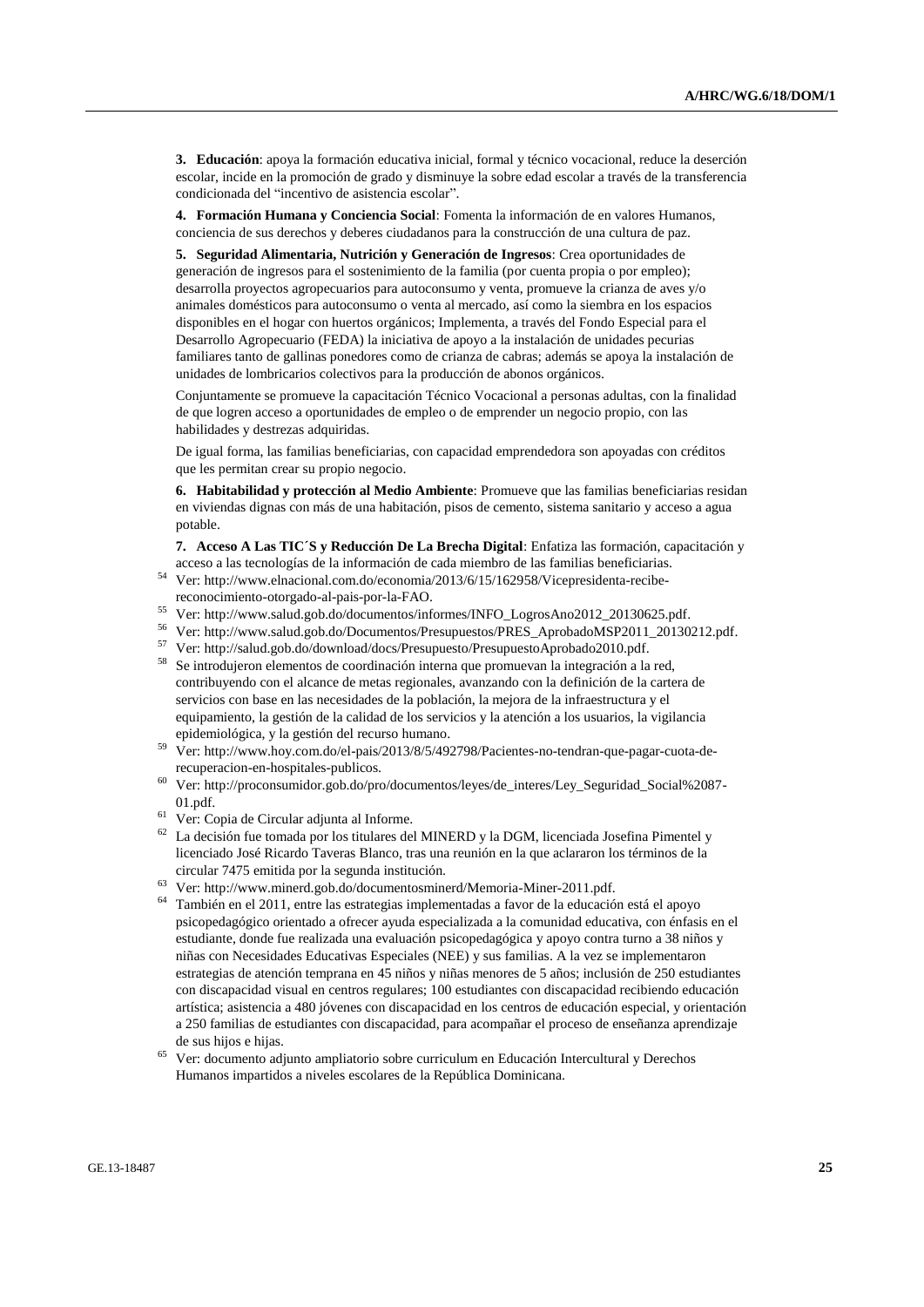**3. Educación**: apoya la formación educativa inicial, formal y técnico vocacional, reduce la deserción escolar, incide en la promoción de grado y disminuye la sobre edad escolar a través de la transferencia condicionada del "incentivo de asistencia escolar".

**4. Formación Humana y Conciencia Social**: Fomenta la información de en valores Humanos, conciencia de sus derechos y deberes ciudadanos para la construcción de una cultura de paz.

**5. Seguridad Alimentaria, Nutrición y Generación de Ingresos**: Crea oportunidades de generación de ingresos para el sostenimiento de la familia (por cuenta propia o por empleo); desarrolla proyectos agropecuarios para autoconsumo y venta, promueve la crianza de aves y/o animales domésticos para autoconsumo o venta al mercado, así como la siembra en los espacios disponibles en el hogar con huertos orgánicos; Implementa, a través del Fondo Especial para el Desarrollo Agropecuario (FEDA) la iniciativa de apoyo a la instalación de unidades pecurias familiares tanto de gallinas ponedores como de crianza de cabras; además se apoya la instalación de unidades de lombricarios colectivos para la producción de abonos orgánicos.

Conjuntamente se promueve la capacitación Técnico Vocacional a personas adultas, con la finalidad de que logren acceso a oportunidades de empleo o de emprender un negocio propio, con las habilidades y destrezas adquiridas.

De igual forma, las familias beneficiarias, con capacidad emprendedora son apoyadas con créditos que les permitan crear su propio negocio.

**6. Habitabilidad y protección al Medio Ambiente**: Promueve que las familias beneficiarias residan en viviendas dignas con más de una habitación, pisos de cemento, sistema sanitario y acceso a agua potable.

**7. Acceso A Las TIC´S y Reducción De La Brecha Digital**: Enfatiza las formación, capacitación y acceso a las tecnologías de la información de cada miembro de las familias beneficiarias.

- <sup>54</sup> Ver[: http://www.elnacional.com.do/economia/2013/6/15/162958/Vicepresidenta-recibe](http://www.elnacional.com.do/economia/2013/6/15/162958/Vicepresidenta-recibe-reconocimiento-otorgado-al-pais-por-la-FAO)[reconocimiento-otorgado-al-pais-por-la-FAO.](http://www.elnacional.com.do/economia/2013/6/15/162958/Vicepresidenta-recibe-reconocimiento-otorgado-al-pais-por-la-FAO)
- <sup>55</sup> Ver[: http://www.salud.gob.do/documentos/informes/INFO\\_LogrosAno2012\\_20130625.pdf.](http://www.salud.gob.do/documentos/informes/INFO_LogrosAno2012_20130625.pdf)
- <sup>56</sup> Ver[: http://www.salud.gob.do/Documentos/Presupuestos/PRES\\_AprobadoMSP2011\\_20130212.pdf.](http://www.salud.gob.do/Documentos/Presupuestos/PRES_AprobadoMSP2011_20130212.pdf)
- <sup>57</sup> Ver[: http://salud.gob.do/download/docs/Presupuesto/PresupuestoAprobado2010.pdf.](http://salud.gob.do/download/docs/Presupuesto/PresupuestoAprobado2010.pdf)
- <sup>58</sup> Se introdujeron elementos de coordinación interna que promuevan la integración a la red, contribuyendo con el alcance de metas regionales, avanzando con la definición de la cartera de servicios con base en las necesidades de la población, la mejora de la infraestructura y el equipamiento, la gestión de la calidad de los servicios y la atención a los usuarios, la vigilancia epidemiológica, y la gestión del recurso humano.
- <sup>59</sup> Ver[: http://www.hoy.com.do/el-pais/2013/8/5/492798/Pacientes-no-tendran-que-pagar-cuota-de](http://www.hoy.com.do/el-pais/2013/8/5/492798/Pacientes-no-tendran-que-pagar-cuota-de-recuperacion-en-hospitales-publicos)[recuperacion-en-hospitales-publicos.](http://www.hoy.com.do/el-pais/2013/8/5/492798/Pacientes-no-tendran-que-pagar-cuota-de-recuperacion-en-hospitales-publicos)
- <sup>60</sup> Ver[: http://proconsumidor.gob.do/pro/documentos/leyes/de\\_interes/Ley\\_Seguridad\\_Social%2087-](http://proconsumidor.gob.do/pro/documentos/leyes/de_interes/Ley_Seguridad_Social%2087-01.pdf) [01.pdf.](http://proconsumidor.gob.do/pro/documentos/leyes/de_interes/Ley_Seguridad_Social%2087-01.pdf)
- <sup>61</sup> Ver: Copia de Circular adjunta al Informe.
- $62$  La decisión fue tomada por los titulares del MINERD y la DGM, licenciada Josefina Pimentel y licenciado José Ricardo Taveras Blanco, tras una reunión en la que aclararon los términos de la circular 7475 emitida por la segunda institución.
- <sup>63</sup> Ver[: http://www.minerd.gob.do/documentosminerd/Memoria-Miner-2011.pdf.](http://www.minerd.gob.do/documentosminerd/Memoria-Miner-2011.pdf)
- <sup>64</sup> También en el 2011, entre las estrategias implementadas a favor de la educación está el apoyo psicopedagógico orientado a ofrecer ayuda especializada a la comunidad educativa, con énfasis en el estudiante, donde fue realizada una evaluación psicopedagógica y apoyo contra turno a 38 niños y niñas con Necesidades Educativas Especiales (NEE) y sus familias. A la vez se implementaron estrategias de atención temprana en 45 niños y niñas menores de 5 años; inclusión de 250 estudiantes con discapacidad visual en centros regulares; 100 estudiantes con discapacidad recibiendo educación artística; asistencia a 480 jóvenes con discapacidad en los centros de educación especial, y orientación a 250 familias de estudiantes con discapacidad, para acompañar el proceso de enseñanza aprendizaje de sus hijos e hijas.
- <sup>65</sup> Ver: documento adjunto ampliatorio sobre curriculum en Educación Intercultural y Derechos Humanos impartidos a niveles escolares de la República Dominicana.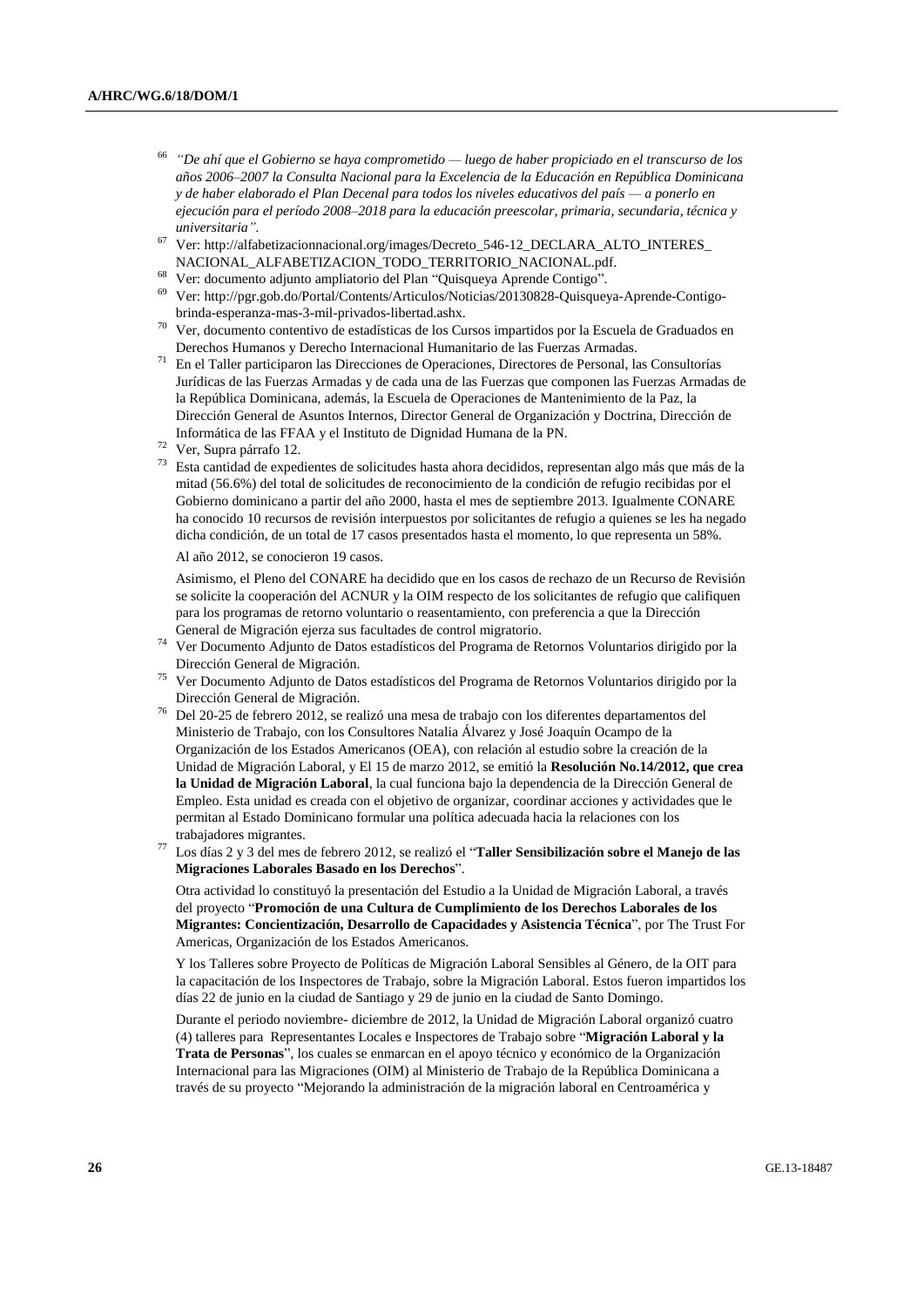- 66 *"De ahí que el Gobierno se haya comprometido — luego de haber propiciado en el transcurso de los años 2006–2007 la Consulta Nacional para la Excelencia de la Educación en República Dominicana y de haber elaborado el Plan Decenal para todos los niveles educativos del país — a ponerlo en ejecución para el período 2008–2018 para la educación preescolar, primaria, secundaria, técnica y universitaria".*
- <sup>67</sup> Ver[: http://alfabetizacionnacional.org/images/Decreto\\_546-12\\_DECLARA\\_ALTO\\_INTERES\\_](http://alfabetizacionnacional.org/images/Decreto_546-12_DECLARA_ALTO_INTERES_%20NACIONAL_ALFABETIZACION_TODO_TERRITORIO_NACIONAL.pdf)  [NACIONAL\\_ALFABETIZACION\\_TODO\\_TERRITORIO\\_NACIONAL.pdf.](http://alfabetizacionnacional.org/images/Decreto_546-12_DECLARA_ALTO_INTERES_%20NACIONAL_ALFABETIZACION_TODO_TERRITORIO_NACIONAL.pdf)
- <sup>68</sup> Ver: documento adjunto ampliatorio del Plan "Quisqueya Aprende Contigo".
- <sup>69</sup> Ver[: http://pgr.gob.do/Portal/Contents/Articulos/Noticias/20130828-Quisqueya-Aprende-Contigo](http://pgr.gob.do/Portal/Contents/Articulos/Noticias/20130828-Quisqueya-Aprende-Contigo-brinda-esperanza-mas-3-mil-privados-libertad.ashx)[brinda-esperanza-mas-3-mil-privados-libertad.ashx.](http://pgr.gob.do/Portal/Contents/Articulos/Noticias/20130828-Quisqueya-Aprende-Contigo-brinda-esperanza-mas-3-mil-privados-libertad.ashx)
- <sup>70</sup> Ver, documento contentivo de estadísticas de los Cursos impartidos por la Escuela de Graduados en Derechos Humanos y Derecho Internacional Humanitario de las Fuerzas Armadas.
- <sup>71</sup> En el Taller participaron las Direcciones de Operaciones, Directores de Personal, las Consultorías Jurídicas de las Fuerzas Armadas y de cada una de las Fuerzas que componen las Fuerzas Armadas de la República Dominicana, además, la Escuela de Operaciones de Mantenimiento de la Paz, la Dirección General de Asuntos Internos, Director General de Organización y Doctrina, Dirección de Informática de las FFAA y el Instituto de Dignidad Humana de la PN.
- <sup>72</sup> Ver, Supra párrafo 12.
- <sup>73</sup> Esta cantidad de expedientes de solicitudes hasta ahora decididos, representan algo más que más de la mitad (56.6%) del total de solicitudes de reconocimiento de la condición de refugio recibidas por el Gobierno dominicano a partir del año 2000, hasta el mes de septiembre 2013. Igualmente CONARE ha conocido 10 recursos de revisión interpuestos por solicitantes de refugio a quienes se les ha negado dicha condición, de un total de 17 casos presentados hasta el momento, lo que representa un 58%.

Al año 2012, se conocieron 19 casos.

Asimismo, el Pleno del CONARE ha decidido que en los casos de rechazo de un Recurso de Revisión se solicite la cooperación del ACNUR y la OIM respecto de los solicitantes de refugio que califiquen para los programas de retorno voluntario o reasentamiento, con preferencia a que la Dirección General de Migración ejerza sus facultades de control migratorio.

<sup>74</sup> Ver Documento Adjunto de Datos estadísticos del Programa de Retornos Voluntarios dirigido por la Dirección General de Migración.

- <sup>75</sup> Ver Documento Adjunto de Datos estadísticos del Programa de Retornos Voluntarios dirigido por la Dirección General de Migración.
- <sup>76</sup> Del 20-25 de febrero 2012, se realizó una mesa de trabajo con los diferentes departamentos del Ministerio de Trabajo, con los Consultores Natalia Álvarez y José Joaquín Ocampo de la Organización de los Estados Americanos (OEA), con relación al estudio sobre la creación de la Unidad de Migración Laboral, y El 15 de marzo 2012, se emitió la **Resolución No.14/2012, que crea la Unidad de Migración Laboral**, la cual funciona bajo la dependencia de la Dirección General de Empleo. Esta unidad es creada con el objetivo de organizar, coordinar acciones y actividades que le permitan al Estado Dominicano formular una política adecuada hacia la relaciones con los trabajadores migrantes.
- <sup>77</sup> Los días 2 y 3 del mes de febrero 2012, se realizó el "**Taller Sensibilización sobre el Manejo de las Migraciones Laborales Basado en los Derechos**".

Otra actividad lo constituyó la presentación del Estudio a la Unidad de Migración Laboral, a través del proyecto "**Promoción de una Cultura de Cumplimiento de los Derechos Laborales de los Migrantes: Concientización, Desarrollo de Capacidades y Asistencia Técnica**", por The Trust For Americas, Organización de los Estados Americanos.

Y los Talleres sobre Proyecto de Políticas de Migración Laboral Sensibles al Género, de la OIT para la capacitación de los Inspectores de Trabajo, sobre la Migración Laboral. Estos fueron impartidos los días 22 de junio en la ciudad de Santiago y 29 de junio en la ciudad de Santo Domingo.

Durante el periodo noviembre- diciembre de 2012, la Unidad de Migración Laboral organizó cuatro (4) talleres para Representantes Locales e Inspectores de Trabajo sobre "**Migración Laboral y la Trata de Personas**", los cuales se enmarcan en el apoyo técnico y económico de la Organización Internacional para las Migraciones (OIM) al Ministerio de Trabajo de la República Dominicana a través de su proyecto "Mejorando la administración de la migración laboral en Centroamérica y